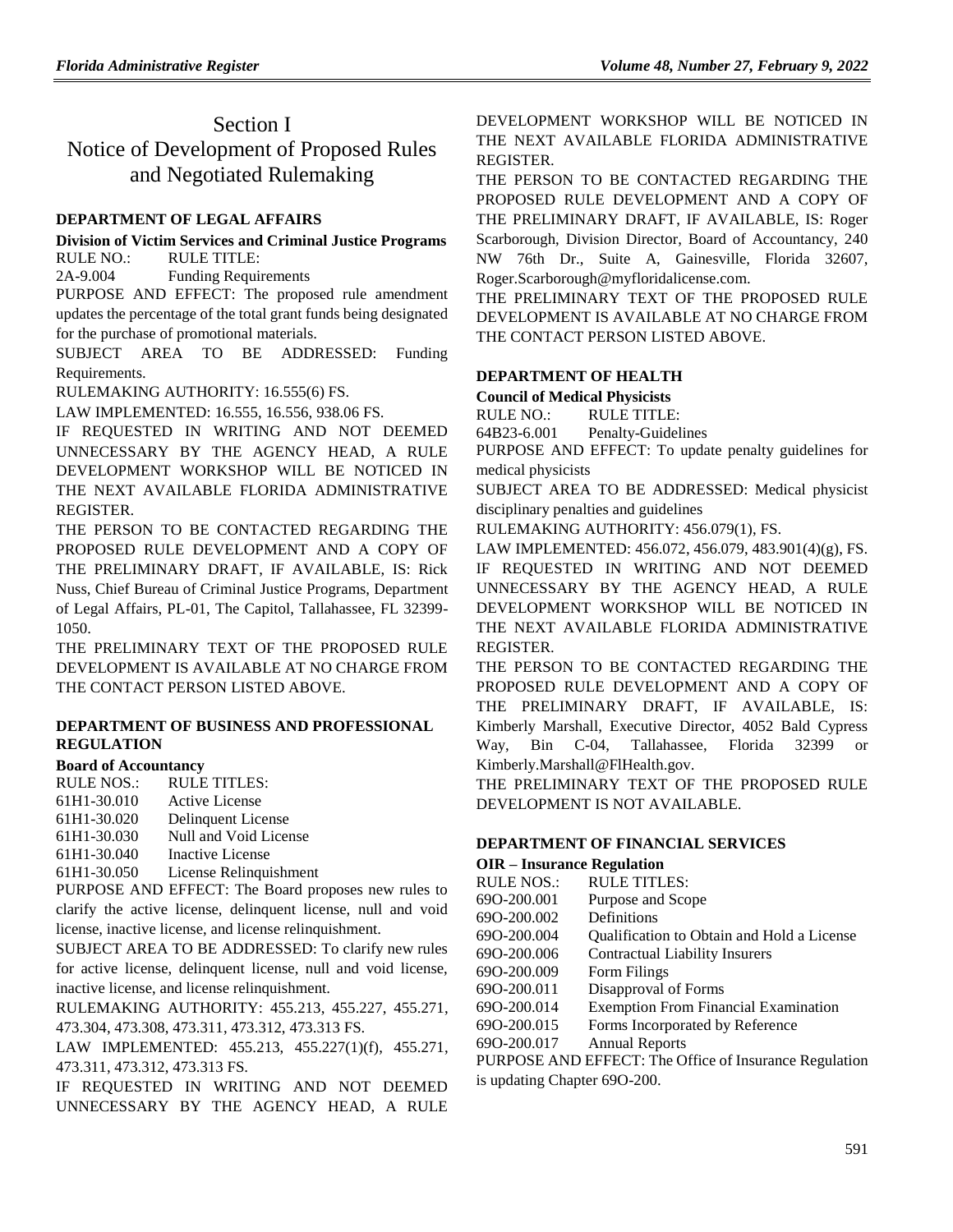## Section I Notice of Development of Proposed Rules and Negotiated Rulemaking

### **[DEPARTMENT OF LEGAL AFFAIRS](https://www.flrules.org/gateway/department.asp?id=2)**

### **[Division of Victim Services and Criminal Justice Programs](https://www.flrules.org/gateway/organization.asp?id=48)** RULE NO.: RULE TITLE:

[2A-9.004](https://www.flrules.org/gateway/ruleNo.asp?id=2A-9.004) Funding Requirements

PURPOSE AND EFFECT: The proposed rule amendment updates the percentage of the total grant funds being designated for the purchase of promotional materials.

SUBJECT AREA TO BE ADDRESSED: Funding Requirements.

RULEMAKING AUTHORITY: [16.555\(6\) FS.](https://www.flrules.org/gateway/statute.asp?id=16.555(6)%20FS.)

LAW IMPLEMENTED: [16.555,](https://www.flrules.org/gateway/statute.asp?id=16.555) [16.556,](https://www.flrules.org/gateway/statute.asp?id=%2016.556) [938.06 FS.](https://www.flrules.org/gateway/statute.asp?id=%20938.06%20FS.)

IF REQUESTED IN WRITING AND NOT DEEMED UNNECESSARY BY THE AGENCY HEAD, A RULE DEVELOPMENT WORKSHOP WILL BE NOTICED IN THE NEXT AVAILABLE FLORIDA ADMINISTRATIVE REGISTER.

THE PERSON TO BE CONTACTED REGARDING THE PROPOSED RULE DEVELOPMENT AND A COPY OF THE PRELIMINARY DRAFT, IF AVAILABLE, IS: Rick Nuss, Chief Bureau of Criminal Justice Programs, Department of Legal Affairs, PL-01, The Capitol, Tallahassee, FL 32399- 1050.

THE PRELIMINARY TEXT OF THE PROPOSED RULE DEVELOPMENT IS AVAILABLE AT NO CHARGE FROM THE CONTACT PERSON LISTED ABOVE.

### **[DEPARTMENT OF BUSINESS AND PROFESSIONAL](https://www.flrules.org/gateway/department.asp?id=61)  [REGULATION](https://www.flrules.org/gateway/department.asp?id=61)**

### **[Board of Accountancy](https://www.flrules.org/gateway/organization.asp?id=280)**

RULE NOS.: RULE TITLES:

[61H1-30.010](https://www.flrules.org/gateway/ruleNo.asp?id=61H1-30.010) Active License

[61H1-30.020](https://www.flrules.org/gateway/ruleNo.asp?id=61H1-30.020) Delinquent License

[61H1-30.030](https://www.flrules.org/gateway/ruleNo.asp?id=61H1-30.030) Null and Void License

[61H1-30.040](https://www.flrules.org/gateway/ruleNo.asp?id=61H1-30.040) Inactive License

[61H1-30.050](https://www.flrules.org/gateway/ruleNo.asp?id=61H1-30.050) License Relinquishment

PURPOSE AND EFFECT: The Board proposes new rules to clarify the active license, delinquent license, null and void license, inactive license, and license relinquishment.

SUBJECT AREA TO BE ADDRESSED: To clarify new rules for active license, delinquent license, null and void license, inactive license, and license relinquishment.

RULEMAKING AUTHORITY: [455.213,](https://www.flrules.org/gateway/statute.asp?id=455.213) [455.227,](https://www.flrules.org/gateway/statute.asp?id=%20455.227) [455.271,](https://www.flrules.org/gateway/statute.asp?id=%20455.271) [473.304,](https://www.flrules.org/gateway/statute.asp?id=%20473.304) [473.308,](https://www.flrules.org/gateway/statute.asp?id=%20473.308) [473.311,](https://www.flrules.org/gateway/statute.asp?id=%20473.311) [473.312,](https://www.flrules.org/gateway/statute.asp?id=%20473.312) [473.313 FS.](https://www.flrules.org/gateway/statute.asp?id=%20473.313%20FS.)

LAW IMPLEMENTED: [455.213,](https://www.flrules.org/gateway/statute.asp?id=455.213) [455.227\(1\)\(f\),](https://www.flrules.org/gateway/statute.asp?id=%20455.227(1)(f)) [455.271,](https://www.flrules.org/gateway/statute.asp?id=%20455.271) [473.311,](https://www.flrules.org/gateway/statute.asp?id=%20473.311) [473.312,](https://www.flrules.org/gateway/statute.asp?id=%20473.312) [473.313 FS.](https://www.flrules.org/gateway/statute.asp?id=%20473.313%20FS.)

IF REQUESTED IN WRITING AND NOT DEEMED UNNECESSARY BY THE AGENCY HEAD, A RULE DEVELOPMENT WORKSHOP WILL BE NOTICED IN THE NEXT AVAILABLE FLORIDA ADMINISTRATIVE REGISTER.

THE PERSON TO BE CONTACTED REGARDING THE PROPOSED RULE DEVELOPMENT AND A COPY OF THE PRELIMINARY DRAFT, IF AVAILABLE, IS: Roger Scarborough, Division Director, Board of Accountancy, 240 NW 76th Dr., Suite A, Gainesville, Florida 32607, Roger.Scarborough@myfloridalicense.com.

THE PRELIMINARY TEXT OF THE PROPOSED RULE DEVELOPMENT IS AVAILABLE AT NO CHARGE FROM THE CONTACT PERSON LISTED ABOVE.

### **[DEPARTMENT OF HEALTH](https://www.flrules.org/gateway/department.asp?id=64)**

**[Council of Medical Physicists](https://www.flrules.org/gateway/organization.asp?id=315)**

RULE NO.: RULE TITLE:

[64B23-6.001](https://www.flrules.org/gateway/ruleNo.asp?id=64B23-6.001) Penalty-Guidelines

PURPOSE AND EFFECT: To update penalty guidelines for medical physicists

SUBJECT AREA TO BE ADDRESSED: Medical physicist disciplinary penalties and guidelines

RULEMAKING AUTHORITY: [456.079\(1\),](https://www.flrules.org/gateway/statute.asp?id=456.079(1)) FS.

LAW IMPLEMENTED: [456.072,](https://www.flrules.org/gateway/statute.asp?id=456.072) [456.079,](https://www.flrules.org/gateway/statute.asp?id=%20456.079) [483.901\(4\)\(g\),](https://www.flrules.org/gateway/statute.asp?id=%20483.901(4)(g)) FS. IF REQUESTED IN WRITING AND NOT DEEMED UNNECESSARY BY THE AGENCY HEAD, A RULE DEVELOPMENT WORKSHOP WILL BE NOTICED IN THE NEXT AVAILABLE FLORIDA ADMINISTRATIVE REGISTER.

THE PERSON TO BE CONTACTED REGARDING THE PROPOSED RULE DEVELOPMENT AND A COPY OF THE PRELIMINARY DRAFT, IF AVAILABLE, IS: Kimberly Marshall, Executive Director, 4052 Bald Cypress Way, Bin C-04, Tallahassee, Florida 32399 or Kimberly.Marshall@FlHealth.gov.

THE PRELIMINARY TEXT OF THE PROPOSED RULE DEVELOPMENT IS NOT AVAILABLE.

## **[DEPARTMENT OF FINANCIAL SERVICES](https://www.flrules.org/gateway/department.asp?id=69)**

## **OIR – [Insurance Regulation](https://www.flrules.org/gateway/organization.asp?id=520)** RULE NOS.: RULE TITLES: [69O-200.001](https://www.flrules.org/gateway/ruleNo.asp?id=69O-200.001) Purpose and Scope [69O-200.002](https://www.flrules.org/gateway/ruleNo.asp?id=69O-200.002) Definitions [69O-200.004](https://www.flrules.org/gateway/ruleNo.asp?id=69O-200.004) Qualification to Obtain and Hold a License [69O-200.006](https://www.flrules.org/gateway/ruleNo.asp?id=69O-200.006) Contractual Liability Insurers [69O-200.009](https://www.flrules.org/gateway/ruleNo.asp?id=69O-200.009) Form Filings [69O-200.011](https://www.flrules.org/gateway/ruleNo.asp?id=69O-200.011) Disapproval of Forms [69O-200.014](https://www.flrules.org/gateway/ruleNo.asp?id=69O-200.014) Exemption From Financial Examination [69O-200.015](https://www.flrules.org/gateway/ruleNo.asp?id=69O-200.015) Forms Incorporated by Reference [69O-200.017](https://www.flrules.org/gateway/ruleNo.asp?id=69O-200.017) Annual Reports PURPOSE AND EFFECT: The Office of Insurance Regulation

is updating Chapter 69O-200.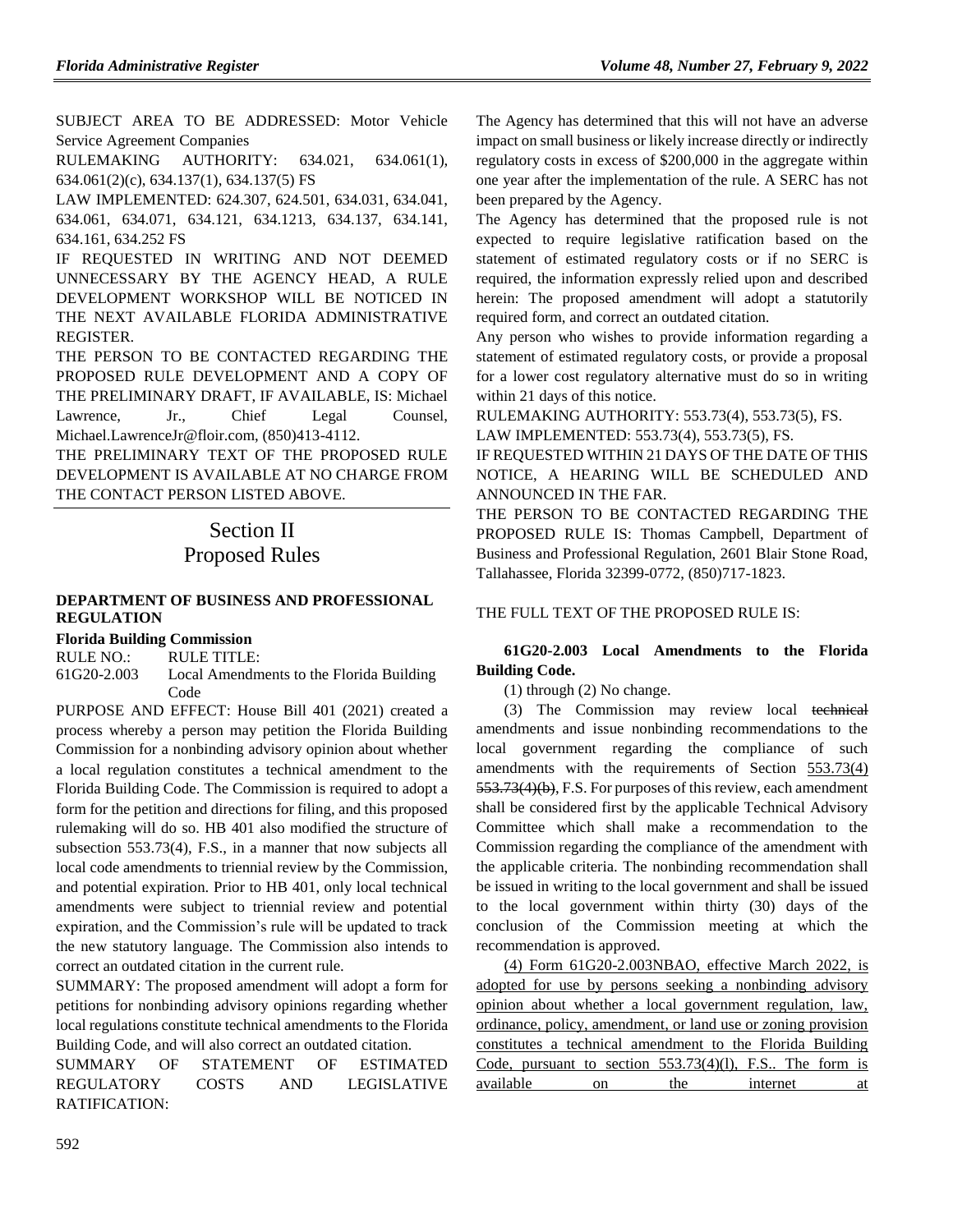SUBJECT AREA TO BE ADDRESSED: Motor Vehicle Service Agreement Companies

RULEMAKING AUTHORITY: [634.021, 634.061\(1\),](https://www.flrules.org/gateway/cfr.asp?id=634.021,%20634.061(1),%20634.061(2)(c),%20634.137(1),%20634.137(5)%20FS)  [634.061\(2\)\(c\), 634.137\(1\), 634.137\(5\) FS](https://www.flrules.org/gateway/cfr.asp?id=634.021,%20634.061(1),%20634.061(2)(c),%20634.137(1),%20634.137(5)%20FS)

LAW IMPLEMENTED: [624.307, 624.501, 634.031, 634.041,](https://www.flrules.org/gateway/cfr.asp?id=624.307,%20624.501,%20634.031,%20634.041,%20634.061,%20634.071,%20634.121,%20634.1213,%20634.137,%20634.141,%20634.161,%20634.252%20FS)  [634.061, 634.071, 634.121, 634.1213, 634.137, 634.141,](https://www.flrules.org/gateway/cfr.asp?id=624.307,%20624.501,%20634.031,%20634.041,%20634.061,%20634.071,%20634.121,%20634.1213,%20634.137,%20634.141,%20634.161,%20634.252%20FS)  [634.161, 634.252 FS](https://www.flrules.org/gateway/cfr.asp?id=624.307,%20624.501,%20634.031,%20634.041,%20634.061,%20634.071,%20634.121,%20634.1213,%20634.137,%20634.141,%20634.161,%20634.252%20FS)

IF REQUESTED IN WRITING AND NOT DEEMED UNNECESSARY BY THE AGENCY HEAD, A RULE DEVELOPMENT WORKSHOP WILL BE NOTICED IN THE NEXT AVAILABLE FLORIDA ADMINISTRATIVE REGISTER.

THE PERSON TO BE CONTACTED REGARDING THE PROPOSED RULE DEVELOPMENT AND A COPY OF THE PRELIMINARY DRAFT, IF AVAILABLE, IS: Michael Lawrence, Jr., Chief Legal Counsel, Michael.LawrenceJr@floir.com, (850)413-4112.

THE PRELIMINARY TEXT OF THE PROPOSED RULE DEVELOPMENT IS AVAILABLE AT NO CHARGE FROM THE CONTACT PERSON LISTED ABOVE.

# Section II Proposed Rules

### **[DEPARTMENT OF BUSINESS AND PROFESSIONAL](https://www.flrules.org/gateway/department.asp?id=61)  [REGULATION](https://www.flrules.org/gateway/department.asp?id=61)**

**[Florida Building Commission](https://www.flrules.org/gateway/organization.asp?id=1071)**

RULE NO.: RULE TITLE:

[61G20-2.003](https://www.flrules.org/gateway/ruleNo.asp?id=61G20-2.003) Local Amendments to the Florida Building Code

PURPOSE AND EFFECT: House Bill 401 (2021) created a process whereby a person may petition the Florida Building Commission for a nonbinding advisory opinion about whether a local regulation constitutes a technical amendment to the Florida Building Code. The Commission is required to adopt a form for the petition and directions for filing, and this proposed rulemaking will do so. HB 401 also modified the structure of subsection 553.73(4), F.S., in a manner that now subjects all local code amendments to triennial review by the Commission, and potential expiration. Prior to HB 401, only local technical amendments were subject to triennial review and potential expiration, and the Commission's rule will be updated to track the new statutory language. The Commission also intends to correct an outdated citation in the current rule.

SUMMARY: The proposed amendment will adopt a form for petitions for nonbinding advisory opinions regarding whether local regulations constitute technical amendments to the Florida Building Code, and will also correct an outdated citation.

SUMMARY OF STATEMENT OF ESTIMATED REGULATORY COSTS AND LEGISLATIVE RATIFICATION:

The Agency has determined that this will not have an adverse impact on small business or likely increase directly or indirectly regulatory costs in excess of \$200,000 in the aggregate within one year after the implementation of the rule. A SERC has not been prepared by the Agency.

The Agency has determined that the proposed rule is not expected to require legislative ratification based on the statement of estimated regulatory costs or if no SERC is required, the information expressly relied upon and described herein: The proposed amendment will adopt a statutorily required form, and correct an outdated citation.

Any person who wishes to provide information regarding a statement of estimated regulatory costs, or provide a proposal for a lower cost regulatory alternative must do so in writing within 21 days of this notice.

RULEMAKING AUTHORITY: [553.73\(4\),](https://www.flrules.org/gateway/statute.asp?id=553.73(4)) [553.73\(5\),](https://www.flrules.org/gateway/statute.asp?id=%20553.73(5)) FS. LAW IMPLEMENTED: [553.73\(4\),](https://www.flrules.org/gateway/statute.asp?id=553.73(4)) [553.73\(5\),](https://www.flrules.org/gateway/statute.asp?id=%20553.73(5)) FS.

IF REQUESTED WITHIN 21 DAYS OF THE DATE OF THIS NOTICE, A HEARING WILL BE SCHEDULED AND ANNOUNCED IN THE FAR.

THE PERSON TO BE CONTACTED REGARDING THE PROPOSED RULE IS: Thomas Campbell, Department of Business and Professional Regulation, 2601 Blair Stone Road, Tallahassee, Florida 32399-0772, (850)717-1823.

## THE FULL TEXT OF THE PROPOSED RULE IS:

## **61G20-2.003 Local Amendments to the Florida Building Code.**

(1) through (2) No change.

(3) The Commission may review local technical amendments and issue nonbinding recommendations to the local government regarding the compliance of such amendments with the requirements of Section 553.73(4) 553.73(4)(b), F.S. For purposes of this review, each amendment shall be considered first by the applicable Technical Advisory Committee which shall make a recommendation to the Commission regarding the compliance of the amendment with the applicable criteria. The nonbinding recommendation shall be issued in writing to the local government and shall be issued to the local government within thirty (30) days of the conclusion of the Commission meeting at which the recommendation is approved.

(4) Form 61G20-2.003NBAO, effective March 2022, is adopted for use by persons seeking a nonbinding advisory opinion about whether a local government regulation, law, ordinance, policy, amendment, or land use or zoning provision constitutes a technical amendment to the Florida Building Code, pursuant to section 553.73(4)(l), F.S.. The form is available on the internet at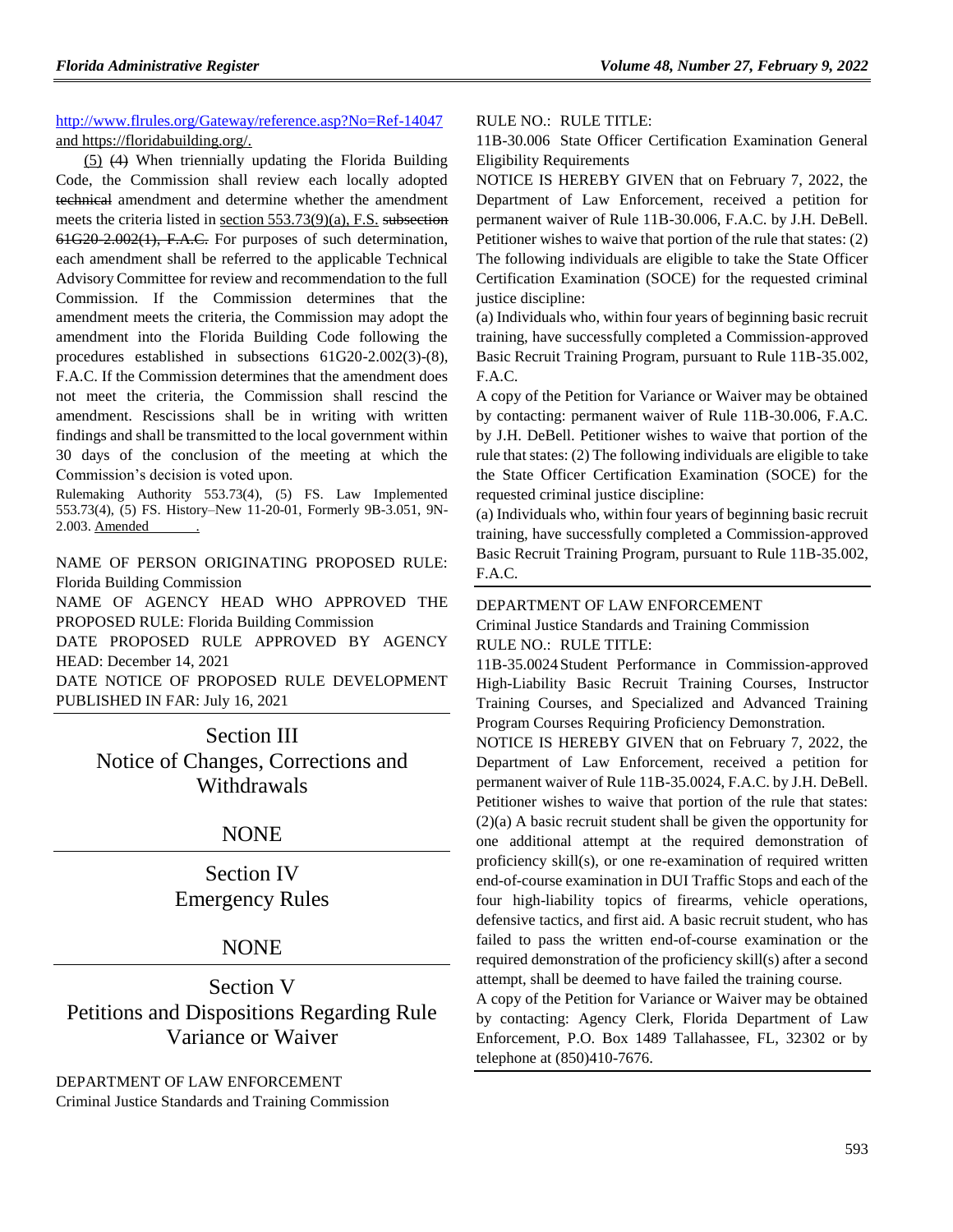[http://www.flrules.org/Gateway/reference.asp?No=Ref-14047](https://www.flrules.org/Gateway/reference.asp?No=Ref-14047) and https://floridabuilding.org/.

 $(5)$   $(4)$  When triennially updating the Florida Building Code, the Commission shall review each locally adopted technical amendment and determine whether the amendment meets the criteria listed in section 553.73(9)(a), F.S. subsection 61G20-2.002(1), F.A.C. For purposes of such determination, each amendment shall be referred to the applicable Technical Advisory Committee for review and recommendation to the full Commission. If the Commission determines that the amendment meets the criteria, the Commission may adopt the amendment into the Florida Building Code following the procedures established in subsections 61G20-2.002(3)-(8), F.A.C. If the Commission determines that the amendment does not meet the criteria, the Commission shall rescind the amendment. Rescissions shall be in writing with written findings and shall be transmitted to the local government within 30 days of the conclusion of the meeting at which the Commission's decision is voted upon.

Rulemaking Authority 553.73(4), (5) FS. Law Implemented 553.73(4), (5) FS. History–New 11-20-01, Formerly 9B-3.051, 9N-2.003. Amended .

NAME OF PERSON ORIGINATING PROPOSED RULE: Florida Building Commission

NAME OF AGENCY HEAD WHO APPROVED THE PROPOSED RULE: Florida Building Commission DATE PROPOSED RULE APPROVED BY AGENCY

HEAD: December 14, 2021

DATE NOTICE OF PROPOSED RULE DEVELOPMENT PUBLISHED IN FAR: July 16, 2021

> Section III Notice of Changes, Corrections and Withdrawals

## NONE

Section IV Emergency Rules

## NONE

Section V Petitions and Dispositions Regarding Rule Variance or Waiver

[DEPARTMENT OF LAW ENFORCEMENT](https://www.flrules.org/gateway/department.asp?id=11) [Criminal Justice Standards and Training Commission](https://www.flrules.org/gateway/organization.asp?id=20)

### RULE NO.: RULE TITLE:

[11B-30.006](https://www.flrules.org/gateway/ruleNo.asp?id=11B-30.006) State Officer Certification Examination General Eligibility Requirements

NOTICE IS HEREBY GIVEN that on February 7, 2022, the Department of Law Enforcement, received a petition for permanent waiver of Rule 11B-30.006, F.A.C. by J.H. DeBell. Petitioner wishes to waive that portion of the rule that states: (2) The following individuals are eligible to take the State Officer Certification Examination (SOCE) for the requested criminal justice discipline:

(a) Individuals who, within four years of beginning basic recruit training, have successfully completed a Commission-approved Basic Recruit Training Program, pursuant to Rule 11B-35.002, F.A.C.

A copy of the Petition for Variance or Waiver may be obtained by contacting: permanent waiver of Rule 11B-30.006, F.A.C. by J.H. DeBell. Petitioner wishes to waive that portion of the rule that states: (2) The following individuals are eligible to take the State Officer Certification Examination (SOCE) for the requested criminal justice discipline:

(a) Individuals who, within four years of beginning basic recruit training, have successfully completed a Commission-approved Basic Recruit Training Program, pursuant to Rule 11B-35.002, F.A.C.

#### [DEPARTMENT OF LAW ENFORCEMENT](https://www.flrules.org/gateway/department.asp?id=11)

[Criminal Justice Standards and Training Commission](https://www.flrules.org/gateway/organization.asp?id=20) RULE NO.: RULE TITLE:

[11B-35.0024](https://www.flrules.org/gateway/ruleNo.asp?id=11B-35.0024) Student Performance in Commission-approved High-Liability Basic Recruit Training Courses, Instructor Training Courses, and Specialized and Advanced Training Program Courses Requiring Proficiency Demonstration.

NOTICE IS HEREBY GIVEN that on February 7, 2022, the Department of Law Enforcement, received a petition for permanent waiver of Rule 11B-35.0024, F.A.C. by J.H. DeBell. Petitioner wishes to waive that portion of the rule that states: (2)(a) A basic recruit student shall be given the opportunity for one additional attempt at the required demonstration of proficiency skill(s), or one re-examination of required written end-of-course examination in DUI Traffic Stops and each of the four high-liability topics of firearms, vehicle operations, defensive tactics, and first aid. A basic recruit student, who has failed to pass the written end-of-course examination or the required demonstration of the proficiency skill(s) after a second attempt, shall be deemed to have failed the training course.

A copy of the Petition for Variance or Waiver may be obtained by contacting: Agency Clerk, Florida Department of Law Enforcement, P.O. Box 1489 Tallahassee, FL, 32302 or by telephone at (850)410-7676.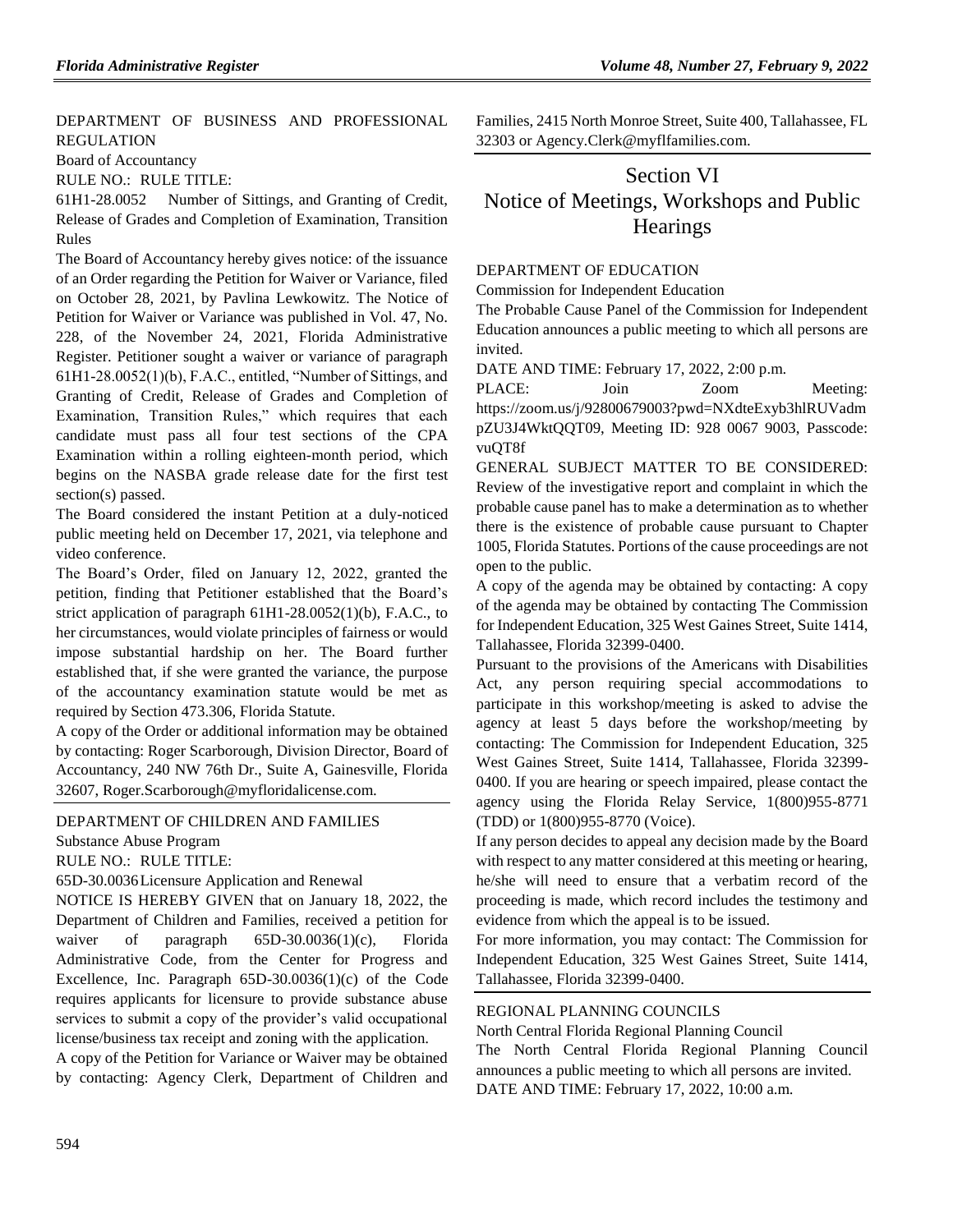[DEPARTMENT OF BUSINESS AND PROFESSIONAL](https://www.flrules.org/gateway/department.asp?id=61)  [REGULATION](https://www.flrules.org/gateway/department.asp?id=61)

[Board of Accountancy](https://www.flrules.org/gateway/organization.asp?id=280)

RULE NO.: RULE TITLE:

[61H1-28.0052](https://www.flrules.org/gateway/ruleNo.asp?id=61H1-28.0052) Number of Sittings, and Granting of Credit, Release of Grades and Completion of Examination, Transition Rules

The Board of Accountancy hereby gives notice: of the issuance of an Order regarding the Petition for Waiver or Variance, filed on October 28, 2021, by Pavlina Lewkowitz. The Notice of Petition for Waiver or Variance was published in Vol. 47, No. 228, of the November 24, 2021, Florida Administrative Register. Petitioner sought a waiver or variance of paragraph 61H1-28.0052(1)(b), F.A.C., entitled, "Number of Sittings, and Granting of Credit, Release of Grades and Completion of Examination, Transition Rules," which requires that each candidate must pass all four test sections of the CPA Examination within a rolling eighteen-month period, which begins on the NASBA grade release date for the first test section(s) passed.

The Board considered the instant Petition at a duly-noticed public meeting held on December 17, 2021, via telephone and video conference.

The Board's Order, filed on January 12, 2022, granted the petition, finding that Petitioner established that the Board's strict application of paragraph 61H1-28.0052(1)(b), F.A.C., to her circumstances, would violate principles of fairness or would impose substantial hardship on her. The Board further established that, if she were granted the variance, the purpose of the accountancy examination statute would be met as required by Section 473.306, Florida Statute.

A copy of the Order or additional information may be obtained by contacting: Roger Scarborough, Division Director, Board of Accountancy, 240 NW 76th Dr., Suite A, Gainesville, Florida 32607, Roger.Scarborough@myfloridalicense.com.

### [DEPARTMENT OF CHILDREN AND FAMILIES](https://www.flrules.org/gateway/department.asp?id=65)

[Substance Abuse Program](https://www.flrules.org/gateway/organization.asp?id=343)

RULE NO.: RULE TITLE:

[65D-30.0036L](https://www.flrules.org/gateway/ruleNo.asp?id=65D-30.0036)icensure Application and Renewal

NOTICE IS HEREBY GIVEN that on January 18, 2022, the Department of Children and Families, received a petition for waiver of paragraph 65D-30.0036(1)(c), Florida Administrative Code, from the Center for Progress and Excellence, Inc. Paragraph 65D-30.0036(1)(c) of the Code requires applicants for licensure to provide substance abuse services to submit a copy of the provider's valid occupational license/business tax receipt and zoning with the application.

A copy of the Petition for Variance or Waiver may be obtained by contacting: Agency Clerk, Department of Children and Families, 2415 North Monroe Street, Suite 400, Tallahassee, FL 32303 or Agency.Clerk@myflfamilies.com.

## Section VI Notice of Meetings, Workshops and Public **Hearings**

#### [DEPARTMENT OF EDUCATION](https://www.flrules.org/gateway/department.asp?id=6)

[Commission for Independent Education](https://www.flrules.org/gateway/organization.asp?id=209)

The Probable Cause Panel of the Commission for Independent Education announces a public meeting to which all persons are invited.

DATE AND TIME: February 17, 2022, 2:00 p.m.

PLACE: Join Zoom Meeting: https://zoom.us/j/92800679003?pwd=NXdteExyb3hlRUVadm pZU3J4WktQQT09, Meeting ID: 928 0067 9003, Passcode: vuQT8f

GENERAL SUBJECT MATTER TO BE CONSIDERED: Review of the investigative report and complaint in which the probable cause panel has to make a determination as to whether there is the existence of probable cause pursuant to Chapter 1005, Florida Statutes. Portions of the cause proceedings are not open to the public.

A copy of the agenda may be obtained by contacting: A copy of the agenda may be obtained by contacting The Commission for Independent Education, 325 West Gaines Street, Suite 1414, Tallahassee, Florida 32399-0400.

Pursuant to the provisions of the Americans with Disabilities Act, any person requiring special accommodations to participate in this workshop/meeting is asked to advise the agency at least 5 days before the workshop/meeting by contacting: The Commission for Independent Education, 325 West Gaines Street, Suite 1414, Tallahassee, Florida 32399- 0400. If you are hearing or speech impaired, please contact the agency using the Florida Relay Service, 1(800)955-8771 (TDD) or 1(800)955-8770 (Voice).

If any person decides to appeal any decision made by the Board with respect to any matter considered at this meeting or hearing, he/she will need to ensure that a verbatim record of the proceeding is made, which record includes the testimony and evidence from which the appeal is to be issued.

For more information, you may contact: The Commission for Independent Education, 325 West Gaines Street, Suite 1414, Tallahassee, Florida 32399-0400.

### [REGIONAL PLANNING COUNCILS](https://www.flrules.org/gateway/department.asp?id=29)

[North Central Florida Regional Planning Council](https://www.flrules.org/gateway/organization.asp?id=59)

The North Central Florida Regional Planning Council announces a public meeting to which all persons are invited. DATE AND TIME: February 17, 2022, 10:00 a.m.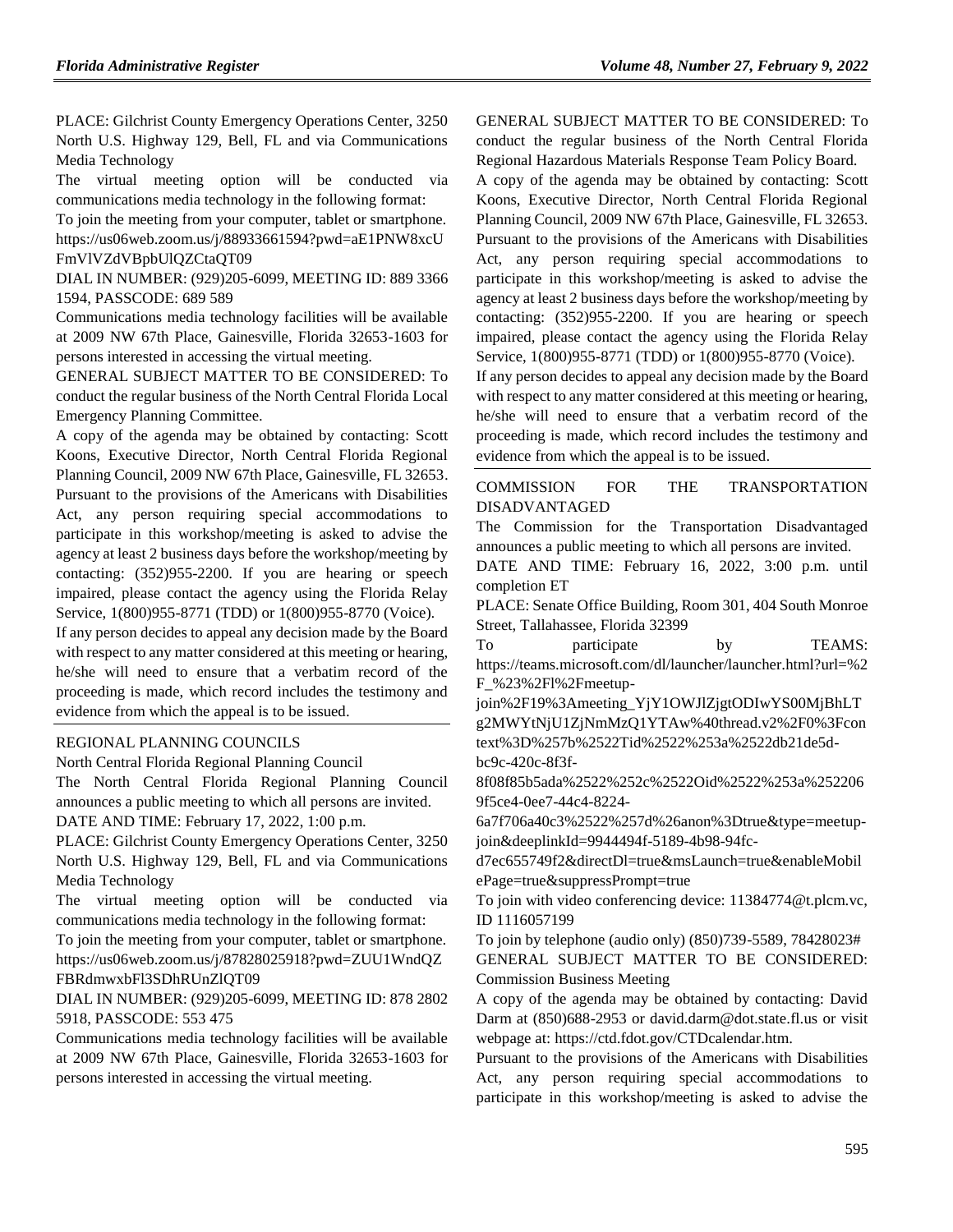PLACE: Gilchrist County Emergency Operations Center, 3250 North U.S. Highway 129, Bell, FL and via Communications Media Technology

The virtual meeting option will be conducted via communications media technology in the following format:

To join the meeting from your computer, tablet or smartphone. https://us06web.zoom.us/j/88933661594?pwd=aE1PNW8xcU FmVlVZdVBpbUlQZCtaQT09

DIAL IN NUMBER: (929)205-6099, MEETING ID: 889 3366 1594, PASSCODE: 689 589

Communications media technology facilities will be available at 2009 NW 67th Place, Gainesville, Florida 32653-1603 for persons interested in accessing the virtual meeting.

GENERAL SUBJECT MATTER TO BE CONSIDERED: To conduct the regular business of the North Central Florida Local Emergency Planning Committee.

A copy of the agenda may be obtained by contacting: Scott Koons, Executive Director, North Central Florida Regional Planning Council, 2009 NW 67th Place, Gainesville, FL 32653. Pursuant to the provisions of the Americans with Disabilities Act, any person requiring special accommodations to participate in this workshop/meeting is asked to advise the agency at least 2 business days before the workshop/meeting by contacting: (352)955-2200. If you are hearing or speech impaired, please contact the agency using the Florida Relay Service, 1(800)955-8771 (TDD) or 1(800)955-8770 (Voice).

If any person decides to appeal any decision made by the Board with respect to any matter considered at this meeting or hearing, he/she will need to ensure that a verbatim record of the proceeding is made, which record includes the testimony and evidence from which the appeal is to be issued.

#### [REGIONAL PLANNING COUNCILS](https://www.flrules.org/gateway/department.asp?id=29)

[North Central Florida Regional Planning Council](https://www.flrules.org/gateway/organization.asp?id=59)

The North Central Florida Regional Planning Council announces a public meeting to which all persons are invited. DATE AND TIME: February 17, 2022, 1:00 p.m.

PLACE: Gilchrist County Emergency Operations Center, 3250 North U.S. Highway 129, Bell, FL and via Communications Media Technology

The virtual meeting option will be conducted via communications media technology in the following format:

To join the meeting from your computer, tablet or smartphone. https://us06web.zoom.us/j/87828025918?pwd=ZUU1WndQZ FBRdmwxbFl3SDhRUnZlQT09

DIAL IN NUMBER: (929)205-6099, MEETING ID: 878 2802 5918, PASSCODE: 553 475

Communications media technology facilities will be available at 2009 NW 67th Place, Gainesville, Florida 32653-1603 for persons interested in accessing the virtual meeting.

GENERAL SUBJECT MATTER TO BE CONSIDERED: To conduct the regular business of the North Central Florida

Regional Hazardous Materials Response Team Policy Board. A copy of the agenda may be obtained by contacting: Scott Koons, Executive Director, North Central Florida Regional Planning Council, 2009 NW 67th Place, Gainesville, FL 32653. Pursuant to the provisions of the Americans with Disabilities Act, any person requiring special accommodations to participate in this workshop/meeting is asked to advise the agency at least 2 business days before the workshop/meeting by contacting: (352)955-2200. If you are hearing or speech impaired, please contact the agency using the Florida Relay Service, 1(800)955-8771 (TDD) or 1(800)955-8770 (Voice).

If any person decides to appeal any decision made by the Board with respect to any matter considered at this meeting or hearing, he/she will need to ensure that a verbatim record of the proceeding is made, which record includes the testimony and evidence from which the appeal is to be issued.

### [COMMISSION FOR THE TRANSPORTATION](https://www.flrules.org/gateway/department.asp?id=41)  [DISADVANTAGED](https://www.flrules.org/gateway/department.asp?id=41)

The Commission for the Transportation Disadvantaged announces a public meeting to which all persons are invited.

DATE AND TIME: February 16, 2022, 3:00 p.m. until completion ET

PLACE: Senate Office Building, Room 301, 404 South Monroe Street, Tallahassee, Florida 32399

To participate by TEAMS: https://teams.microsoft.com/dl/launcher/launcher.html?url=%2 F\_%23%2Fl%2Fmeetup-

join%2F19%3Ameeting\_YjY1OWJlZjgtODIwYS00MjBhLT g2MWYtNjU1ZjNmMzQ1YTAw%40thread.v2%2F0%3Fcon text%3D%257b%2522Tid%2522%253a%2522db21de5d-

bc9c-420c-8f3f-

8f08f85b5ada%2522%252c%2522Oid%2522%253a%252206 9f5ce4-0ee7-44c4-8224-

6a7f706a40c3%2522%257d%26anon%3Dtrue&type=meetupjoin&deeplinkId=9944494f-5189-4b98-94fc-

d7ec655749f2&directDl=true&msLaunch=true&enableMobil ePage=true&suppressPrompt=true

To join with video conferencing device: 11384774@t.plcm.vc, ID 1116057199

To join by telephone (audio only) (850)739-5589, 78428023# GENERAL SUBJECT MATTER TO BE CONSIDERED: Commission Business Meeting

A copy of the agenda may be obtained by contacting: David Darm at (850)688-2953 or david.darm@dot.state.fl.us or visit webpage at: https://ctd.fdot.gov/CTDcalendar.htm.

Pursuant to the provisions of the Americans with Disabilities Act, any person requiring special accommodations to participate in this workshop/meeting is asked to advise the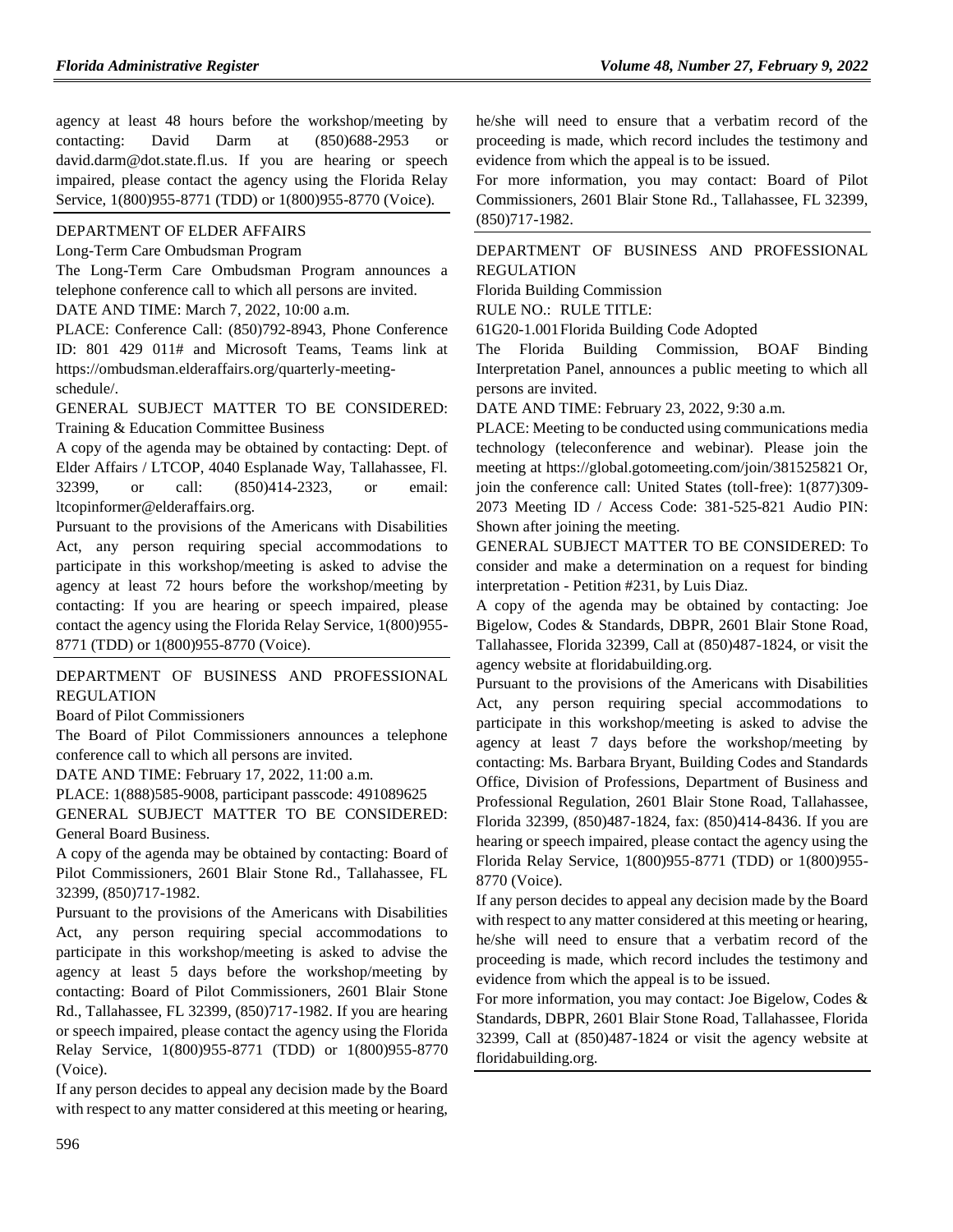agency at least 48 hours before the workshop/meeting by contacting: David Darm at (850)688-2953 or david.darm@dot.state.fl.us. If you are hearing or speech impaired, please contact the agency using the Florida Relay Service, 1(800)955-8771 (TDD) or 1(800)955-8770 (Voice).

## [DEPARTMENT OF ELDER AFFAIRS](https://www.flrules.org/gateway/department.asp?id=58)

#### [Long-Term Care Ombudsman Program](https://www.flrules.org/gateway/organization.asp?id=184)

The Long-Term Care Ombudsman Program announces a telephone conference call to which all persons are invited.

DATE AND TIME: March 7, 2022, 10:00 a.m.

PLACE: Conference Call: (850)792-8943, Phone Conference ID: 801 429 011# and Microsoft Teams, Teams link at https://ombudsman.elderaffairs.org/quarterly-meetingschedule/.

GENERAL SUBJECT MATTER TO BE CONSIDERED: Training & Education Committee Business

A copy of the agenda may be obtained by contacting: Dept. of Elder Affairs / LTCOP, 4040 Esplanade Way, Tallahassee, Fl. 32399, or call: (850)414-2323, or email: ltcopinformer@elderaffairs.org.

Pursuant to the provisions of the Americans with Disabilities Act, any person requiring special accommodations to participate in this workshop/meeting is asked to advise the agency at least 72 hours before the workshop/meeting by contacting: If you are hearing or speech impaired, please contact the agency using the Florida Relay Service, 1(800)955- 8771 (TDD) or 1(800)955-8770 (Voice).

[DEPARTMENT OF BUSINESS AND PROFESSIONAL](https://www.flrules.org/gateway/department.asp?id=61)  [REGULATION](https://www.flrules.org/gateway/department.asp?id=61)

[Board of Pilot Commissioners](https://www.flrules.org/gateway/organization.asp?id=266)

The Board of Pilot Commissioners announces a telephone conference call to which all persons are invited.

DATE AND TIME: February 17, 2022, 11:00 a.m.

PLACE: 1(888)585-9008, participant passcode: 491089625 GENERAL SUBJECT MATTER TO BE CONSIDERED: General Board Business.

A copy of the agenda may be obtained by contacting: Board of Pilot Commissioners, 2601 Blair Stone Rd., Tallahassee, FL 32399, (850)717-1982.

Pursuant to the provisions of the Americans with Disabilities Act, any person requiring special accommodations to participate in this workshop/meeting is asked to advise the agency at least 5 days before the workshop/meeting by contacting: Board of Pilot Commissioners, 2601 Blair Stone Rd., Tallahassee, FL 32399, (850)717-1982. If you are hearing or speech impaired, please contact the agency using the Florida Relay Service, 1(800)955-8771 (TDD) or 1(800)955-8770 (Voice).

If any person decides to appeal any decision made by the Board with respect to any matter considered at this meeting or hearing,

he/she will need to ensure that a verbatim record of the proceeding is made, which record includes the testimony and evidence from which the appeal is to be issued.

For more information, you may contact: Board of Pilot Commissioners, 2601 Blair Stone Rd., Tallahassee, FL 32399, (850)717-1982.

[DEPARTMENT OF BUSINESS AND PROFESSIONAL](https://www.flrules.org/gateway/department.asp?id=61)  [REGULATION](https://www.flrules.org/gateway/department.asp?id=61)

[Florida Building Commission](https://www.flrules.org/gateway/organization.asp?id=1071)

RULE NO.: RULE TITLE:

[61G20-1.001F](https://www.flrules.org/gateway/ruleNo.asp?id=61G20-1.001)lorida Building Code Adopted

The Florida Building Commission, BOAF Binding Interpretation Panel, announces a public meeting to which all persons are invited.

DATE AND TIME: February 23, 2022, 9:30 a.m.

PLACE: Meeting to be conducted using communications media technology (teleconference and webinar). Please join the meeting at https://global.gotomeeting.com/join/381525821 Or, join the conference call: United States (toll-free): 1(877)309- 2073 Meeting ID / Access Code: 381-525-821 Audio PIN: Shown after joining the meeting.

GENERAL SUBJECT MATTER TO BE CONSIDERED: To consider and make a determination on a request for binding interpretation - Petition #231, by Luis Diaz.

A copy of the agenda may be obtained by contacting: Joe Bigelow, Codes & Standards, DBPR, 2601 Blair Stone Road, Tallahassee, Florida 32399, Call at (850)487-1824, or visit the agency website at floridabuilding.org.

Pursuant to the provisions of the Americans with Disabilities Act, any person requiring special accommodations to participate in this workshop/meeting is asked to advise the agency at least 7 days before the workshop/meeting by contacting: Ms. Barbara Bryant, Building Codes and Standards Office, Division of Professions, Department of Business and Professional Regulation, 2601 Blair Stone Road, Tallahassee, Florida 32399, (850)487-1824, fax: (850)414-8436. If you are hearing or speech impaired, please contact the agency using the Florida Relay Service, 1(800)955-8771 (TDD) or 1(800)955- 8770 (Voice).

If any person decides to appeal any decision made by the Board with respect to any matter considered at this meeting or hearing, he/she will need to ensure that a verbatim record of the proceeding is made, which record includes the testimony and evidence from which the appeal is to be issued.

For more information, you may contact: Joe Bigelow, Codes & Standards, DBPR, 2601 Blair Stone Road, Tallahassee, Florida 32399, Call at (850)487-1824 or visit the agency website at floridabuilding.org.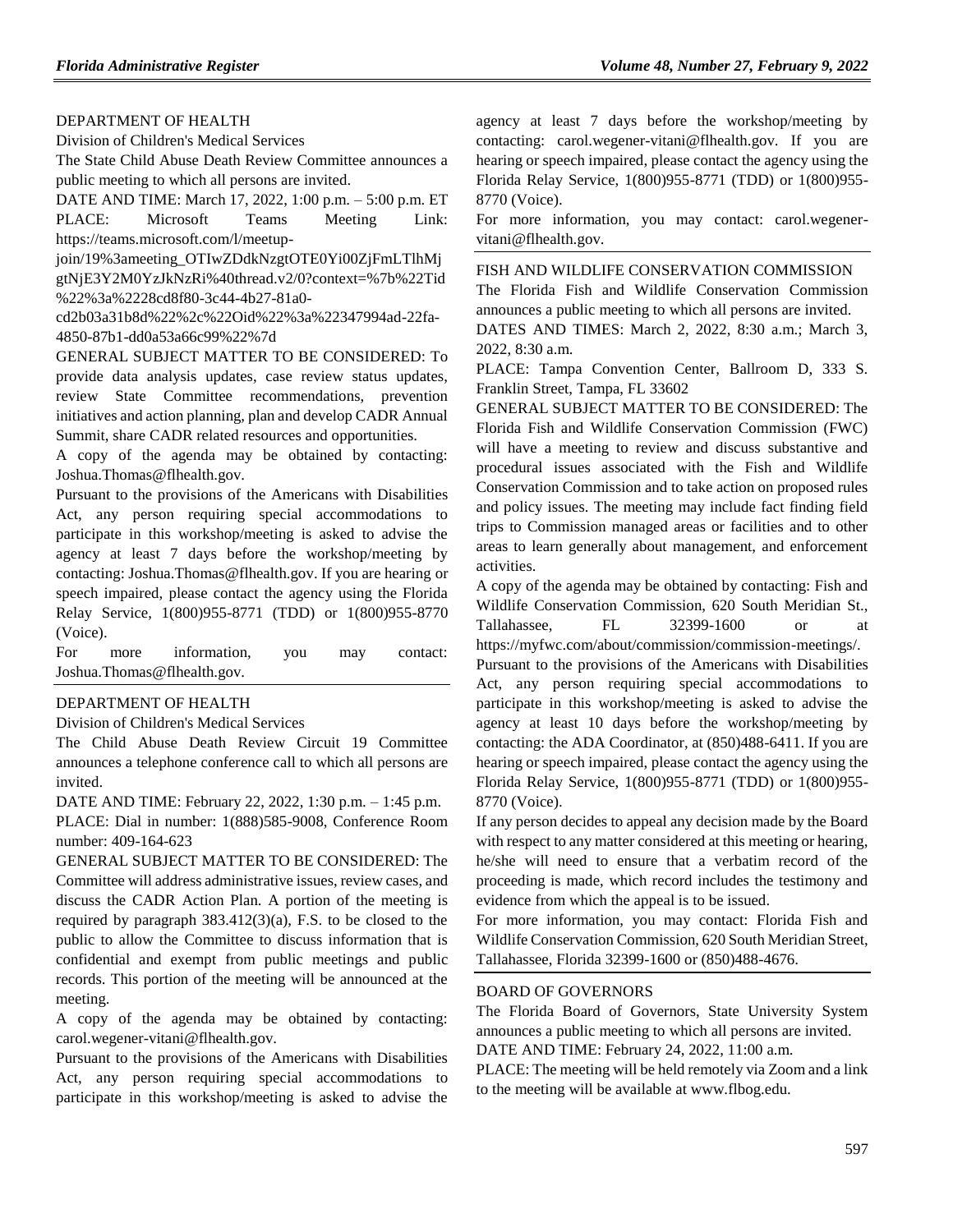### [DEPARTMENT OF HEALTH](https://www.flrules.org/gateway/department.asp?id=64)

[Division of Children's Medical Services](https://www.flrules.org/gateway/organization.asp?id=333)

The State Child Abuse Death Review Committee announces a public meeting to which all persons are invited.

DATE AND TIME: March 17, 2022, 1:00 p.m. – 5:00 p.m. ET PLACE: Microsoft Teams Meeting Link: https://teams.microsoft.com/l/meetup-

join/19%3ameeting\_OTIwZDdkNzgtOTE0Yi00ZjFmLTlhMj gtNjE3Y2M0YzJkNzRi%40thread.v2/0?context=%7b%22Tid %22%3a%2228cd8f80-3c44-4b27-81a0-

cd2b03a31b8d%22%2c%22Oid%22%3a%22347994ad-22fa-4850-87b1-dd0a53a66c99%22%7d

GENERAL SUBJECT MATTER TO BE CONSIDERED: To provide data analysis updates, case review status updates, review State Committee recommendations, prevention initiatives and action planning, plan and develop CADR Annual Summit, share CADR related resources and opportunities.

A copy of the agenda may be obtained by contacting: Joshua.Thomas@flhealth.gov.

Pursuant to the provisions of the Americans with Disabilities Act, any person requiring special accommodations to participate in this workshop/meeting is asked to advise the agency at least 7 days before the workshop/meeting by contacting: Joshua.Thomas@flhealth.gov. If you are hearing or speech impaired, please contact the agency using the Florida Relay Service, 1(800)955-8771 (TDD) or 1(800)955-8770 (Voice).

For more information, you may contact: Joshua.Thomas@flhealth.gov.

### [DEPARTMENT OF HEALTH](https://www.flrules.org/gateway/department.asp?id=64)

[Division of Children's Medical Services](https://www.flrules.org/gateway/organization.asp?id=333)

The Child Abuse Death Review Circuit 19 Committee announces a telephone conference call to which all persons are invited.

DATE AND TIME: February 22, 2022, 1:30 p.m. – 1:45 p.m.

PLACE: Dial in number: 1(888)585-9008, Conference Room number: 409-164-623

GENERAL SUBJECT MATTER TO BE CONSIDERED: The Committee will address administrative issues, review cases, and discuss the CADR Action Plan. A portion of the meeting is required by paragraph 383.412(3)(a), F.S. to be closed to the public to allow the Committee to discuss information that is confidential and exempt from public meetings and public records. This portion of the meeting will be announced at the meeting.

A copy of the agenda may be obtained by contacting: carol.wegener-vitani@flhealth.gov.

Pursuant to the provisions of the Americans with Disabilities Act, any person requiring special accommodations to participate in this workshop/meeting is asked to advise the

agency at least 7 days before the workshop/meeting by contacting: carol.wegener-vitani@flhealth.gov. If you are hearing or speech impaired, please contact the agency using the Florida Relay Service, 1(800)955-8771 (TDD) or 1(800)955- 8770 (Voice).

For more information, you may contact: carol.wegenervitani@flhealth.gov.

[FISH AND WILDLIFE CONSERVATION COMMISSION](https://www.flrules.org/gateway/department.asp?id=68)

The Florida Fish and Wildlife Conservation Commission announces a public meeting to which all persons are invited.

DATES AND TIMES: March 2, 2022, 8:30 a.m.; March 3, 2022, 8:30 a.m.

PLACE: Tampa Convention Center, Ballroom D, 333 S. Franklin Street, Tampa, FL 33602

GENERAL SUBJECT MATTER TO BE CONSIDERED: The Florida Fish and Wildlife Conservation Commission (FWC) will have a meeting to review and discuss substantive and procedural issues associated with the Fish and Wildlife Conservation Commission and to take action on proposed rules and policy issues. The meeting may include fact finding field trips to Commission managed areas or facilities and to other areas to learn generally about management, and enforcement activities.

A copy of the agenda may be obtained by contacting: Fish and Wildlife Conservation Commission, 620 South Meridian St., Tallahassee, FL 32399-1600 or at https://myfwc.com/about/commission/commission-meetings/.

Pursuant to the provisions of the Americans with Disabilities Act, any person requiring special accommodations to participate in this workshop/meeting is asked to advise the agency at least 10 days before the workshop/meeting by contacting: the ADA Coordinator, at (850)488-6411. If you are hearing or speech impaired, please contact the agency using the Florida Relay Service, 1(800)955-8771 (TDD) or 1(800)955- 8770 (Voice).

If any person decides to appeal any decision made by the Board with respect to any matter considered at this meeting or hearing, he/she will need to ensure that a verbatim record of the proceeding is made, which record includes the testimony and evidence from which the appeal is to be issued.

For more information, you may contact: Florida Fish and Wildlife Conservation Commission, 620 South Meridian Street, Tallahassee, Florida 32399-1600 or (850)488-4676.

#### [BOARD OF GOVERNORS](https://www.flrules.org/gateway/department.asp?id=72)

The Florida Board of Governors, State University System announces a public meeting to which all persons are invited. DATE AND TIME: February 24, 2022, 11:00 a.m.

PLACE: The meeting will be held remotely via Zoom and a link to the meeting will be available at www.flbog.edu.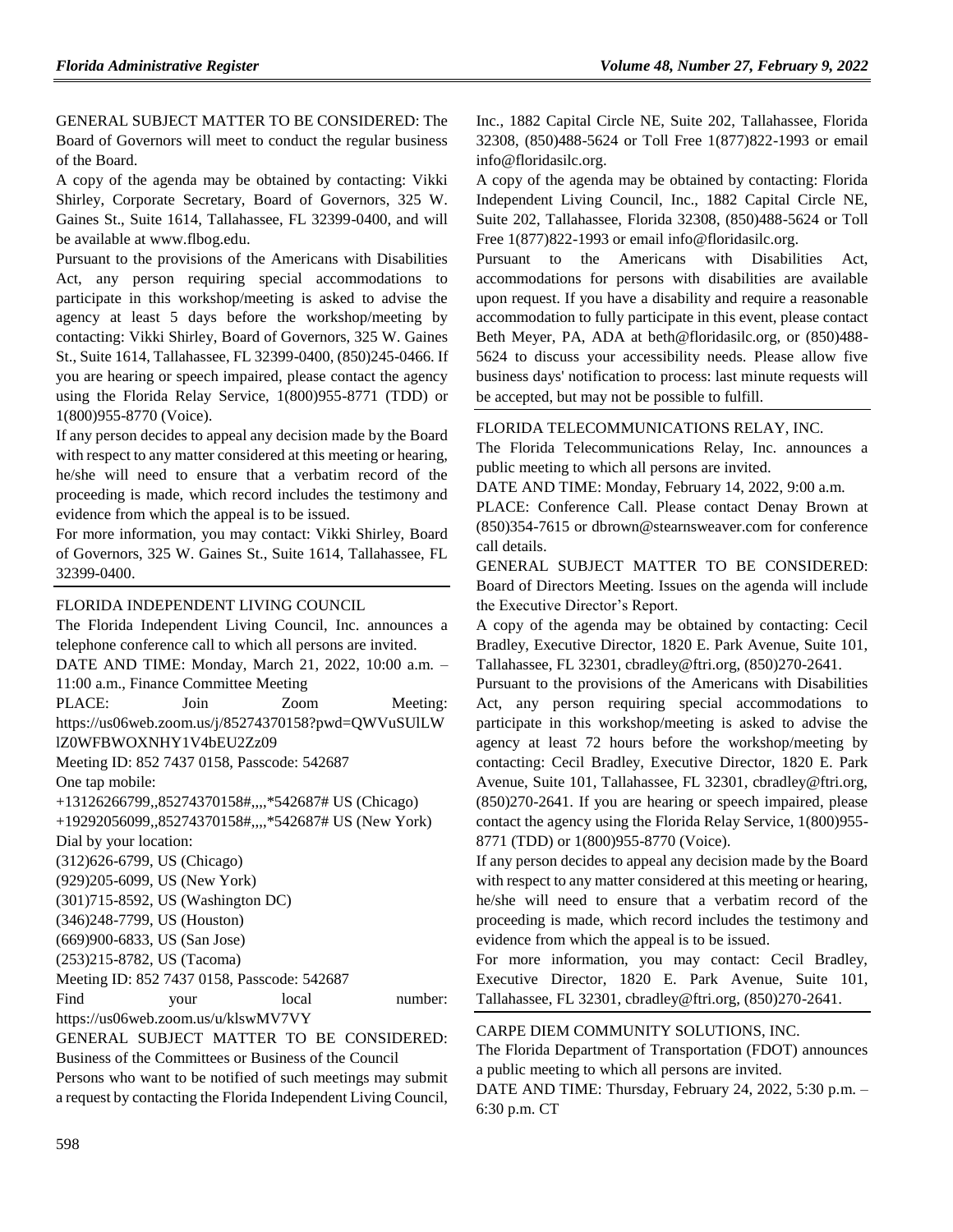GENERAL SUBJECT MATTER TO BE CONSIDERED: The Board of Governors will meet to conduct the regular business of the Board.

A copy of the agenda may be obtained by contacting: Vikki Shirley, Corporate Secretary, Board of Governors, 325 W. Gaines St., Suite 1614, Tallahassee, FL 32399-0400, and will be available at www.flbog.edu.

Pursuant to the provisions of the Americans with Disabilities Act, any person requiring special accommodations to participate in this workshop/meeting is asked to advise the agency at least 5 days before the workshop/meeting by contacting: Vikki Shirley, Board of Governors, 325 W. Gaines St., Suite 1614, Tallahassee, FL 32399-0400, (850)245-0466. If you are hearing or speech impaired, please contact the agency using the Florida Relay Service, 1(800)955-8771 (TDD) or 1(800)955-8770 (Voice).

If any person decides to appeal any decision made by the Board with respect to any matter considered at this meeting or hearing, he/she will need to ensure that a verbatim record of the proceeding is made, which record includes the testimony and evidence from which the appeal is to be issued.

For more information, you may contact: Vikki Shirley, Board of Governors, 325 W. Gaines St., Suite 1614, Tallahassee, FL 32399-0400.

[FLORIDA INDEPENDENT LIVING COUNCIL](https://www.flrules.org/gateway/organization.asp?id=616)

The Florida Independent Living Council, Inc. announces a telephone conference call to which all persons are invited. DATE AND TIME: Monday, March 21, 2022, 10:00 a.m. – 11:00 a.m., Finance Committee Meeting PLACE: Join Zoom Meeting: https://us06web.zoom.us/j/85274370158?pwd=QWVuSUlLW lZ0WFBWOXNHY1V4bEU2Zz09 Meeting ID: 852 7437 0158, Passcode: 542687 One tap mobile: +13126266799,,85274370158#,,,,\*542687# US (Chicago) +19292056099,,85274370158#,,,,\*542687# US (New York) Dial by your location: (312)626-6799, US (Chicago) (929)205-6099, US (New York) (301)715-8592, US (Washington DC) (346)248-7799, US (Houston) (669)900-6833, US (San Jose) (253)215-8782, US (Tacoma) Meeting ID: 852 7437 0158, Passcode: 542687 Find your local number: https://us06web.zoom.us/u/klswMV7VY GENERAL SUBJECT MATTER TO BE CONSIDERED:

Business of the Committees or Business of the Council Persons who want to be notified of such meetings may submit a request by contacting the Florida Independent Living Council,

Inc., 1882 Capital Circle NE, Suite 202, Tallahassee, Florida 32308, (850)488-5624 or Toll Free 1(877)822-1993 or email info@floridasilc.org.

A copy of the agenda may be obtained by contacting: Florida Independent Living Council, Inc., 1882 Capital Circle NE, Suite 202, Tallahassee, Florida 32308, (850)488-5624 or Toll Free 1(877)822-1993 or email info@floridasilc.org.

Pursuant to the Americans with Disabilities Act, accommodations for persons with disabilities are available upon request. If you have a disability and require a reasonable accommodation to fully participate in this event, please contact Beth Meyer, PA, ADA at beth@floridasilc.org, or (850)488- 5624 to discuss your accessibility needs. Please allow five business days' notification to process: last minute requests will be accepted, but may not be possible to fulfill.

[FLORIDA TELECOMMUNICATIONS RELAY, INC.](https://www.flrules.org/gateway/organization.asp?id=693)

The Florida Telecommunications Relay, Inc. announces a public meeting to which all persons are invited.

DATE AND TIME: Monday, February 14, 2022, 9:00 a.m.

PLACE: Conference Call. Please contact Denay Brown at (850)354-7615 or dbrown@stearnsweaver.com for conference call details.

GENERAL SUBJECT MATTER TO BE CONSIDERED: Board of Directors Meeting. Issues on the agenda will include the Executive Director's Report.

A copy of the agenda may be obtained by contacting: Cecil Bradley, Executive Director, 1820 E. Park Avenue, Suite 101, Tallahassee, FL 32301, cbradley@ftri.org, (850)270-2641.

Pursuant to the provisions of the Americans with Disabilities Act, any person requiring special accommodations to participate in this workshop/meeting is asked to advise the agency at least 72 hours before the workshop/meeting by contacting: Cecil Bradley, Executive Director, 1820 E. Park Avenue, Suite 101, Tallahassee, FL 32301, cbradley@ftri.org, (850)270-2641. If you are hearing or speech impaired, please contact the agency using the Florida Relay Service, 1(800)955- 8771 (TDD) or 1(800)955-8770 (Voice).

If any person decides to appeal any decision made by the Board with respect to any matter considered at this meeting or hearing, he/she will need to ensure that a verbatim record of the proceeding is made, which record includes the testimony and evidence from which the appeal is to be issued.

For more information, you may contact: Cecil Bradley, Executive Director, 1820 E. Park Avenue, Suite 101, Tallahassee, FL 32301, cbradley@ftri.org, (850)270-2641.

### [CARPE DIEM COMMUNITY SOLUTIONS, INC.](https://www.flrules.org/gateway/organization.asp?id=1054)

The Florida Department of Transportation (FDOT) announces a public meeting to which all persons are invited.

DATE AND TIME: Thursday, February 24, 2022, 5:30 p.m. – 6:30 p.m. CT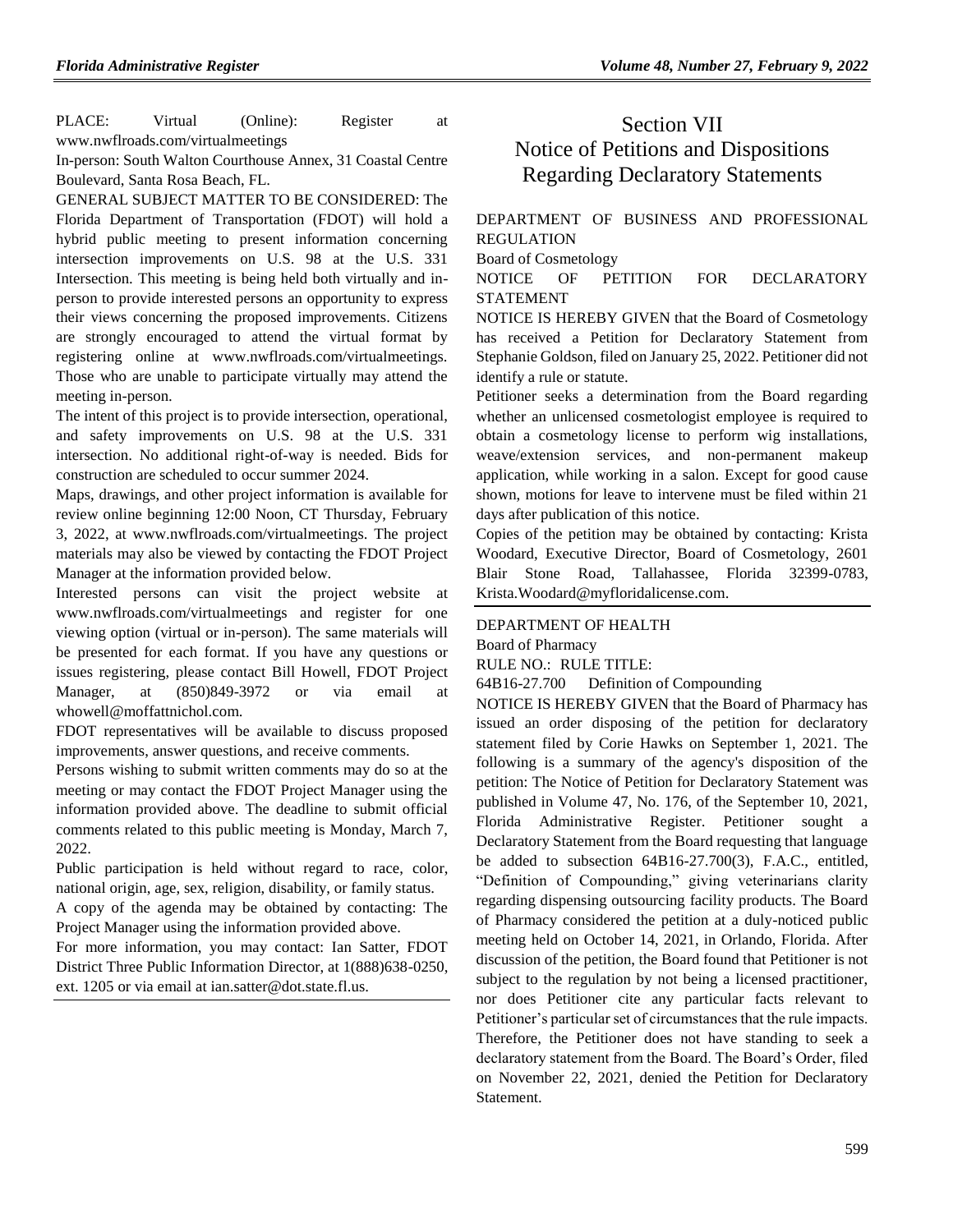PLACE: Virtual (Online): Register at www.nwflroads.com/virtualmeetings

In-person: South Walton Courthouse Annex, 31 Coastal Centre Boulevard, Santa Rosa Beach, FL.

GENERAL SUBJECT MATTER TO BE CONSIDERED: The Florida Department of Transportation (FDOT) will hold a hybrid public meeting to present information concerning intersection improvements on U.S. 98 at the U.S. 331 Intersection. This meeting is being held both virtually and inperson to provide interested persons an opportunity to express their views concerning the proposed improvements. Citizens are strongly encouraged to attend the virtual format by registering online at www.nwflroads.com/virtualmeetings. Those who are unable to participate virtually may attend the meeting in-person.

The intent of this project is to provide intersection, operational, and safety improvements on U.S. 98 at the U.S. 331 intersection. No additional right-of-way is needed. Bids for construction are scheduled to occur summer 2024.

Maps, drawings, and other project information is available for review online beginning 12:00 Noon, CT Thursday, February 3, 2022, at www.nwflroads.com/virtualmeetings. The project materials may also be viewed by contacting the FDOT Project Manager at the information provided below.

Interested persons can visit the project website at www.nwflroads.com/virtualmeetings and register for one viewing option (virtual or in-person). The same materials will be presented for each format. If you have any questions or issues registering, please contact Bill Howell, FDOT Project Manager, at (850)849-3972 or via email at whowell@moffattnichol.com.

FDOT representatives will be available to discuss proposed improvements, answer questions, and receive comments.

Persons wishing to submit written comments may do so at the meeting or may contact the FDOT Project Manager using the information provided above. The deadline to submit official comments related to this public meeting is Monday, March 7, 2022.

Public participation is held without regard to race, color, national origin, age, sex, religion, disability, or family status.

A copy of the agenda may be obtained by contacting: The Project Manager using the information provided above.

For more information, you may contact: Ian Satter, FDOT District Three Public Information Director, at 1(888)638-0250, ext. 1205 or via email at ian.satter@dot.state.fl.us.

# Section VII Notice of Petitions and Dispositions Regarding Declaratory Statements

### DEPARTMENT OF BUSINESS AND PROFESSIONAL REGULATION

Board of Cosmetology

NOTICE OF PETITION FOR DECLARATORY STATEMENT

NOTICE IS HEREBY GIVEN that the Board of Cosmetology has received a Petition for Declaratory Statement from Stephanie Goldson, filed on January 25, 2022. Petitioner did not identify a rule or statute.

Petitioner seeks a determination from the Board regarding whether an unlicensed cosmetologist employee is required to obtain a cosmetology license to perform wig installations, weave/extension services, and non-permanent makeup application, while working in a salon. Except for good cause shown, motions for leave to intervene must be filed within 21 days after publication of this notice.

Copies of the petition may be obtained by contacting: Krista Woodard, Executive Director, Board of Cosmetology, 2601 Blair Stone Road, Tallahassee, Florida 32399-0783, [Krista.Woodard@myfloridalicense.com.](mailto:Krista.Woodard@myfloridalicense.com)

### [DEPARTMENT OF HEALTH](https://www.flrules.org/gateway/department.asp?id=64)

[Board of Pharmacy](https://www.flrules.org/gateway/organization.asp?id=307)

RULE NO.: RULE TITLE:

[64B16-27.700](https://www.flrules.org/gateway/ruleNo.asp?id=64B16-27.700) Definition of Compounding

NOTICE IS HEREBY GIVEN that the Board of Pharmacy has issued an order disposing of the petition for declaratory statement filed by Corie Hawks on September 1, 2021. The following is a summary of the agency's disposition of the petition: The Notice of Petition for Declaratory Statement was published in Volume 47, No. 176, of the September 10, 2021, Florida Administrative Register. Petitioner sought a Declaratory Statement from the Board requesting that language be added to subsection 64B16-27.700(3), F.A.C., entitled, "Definition of Compounding," giving veterinarians clarity regarding dispensing outsourcing facility products. The Board of Pharmacy considered the petition at a duly-noticed public meeting held on October 14, 2021, in Orlando, Florida. After discussion of the petition, the Board found that Petitioner is not subject to the regulation by not being a licensed practitioner, nor does Petitioner cite any particular facts relevant to Petitioner's particular set of circumstances that the rule impacts. Therefore, the Petitioner does not have standing to seek a declaratory statement from the Board. The Board's Order, filed on November 22, 2021, denied the Petition for Declaratory Statement.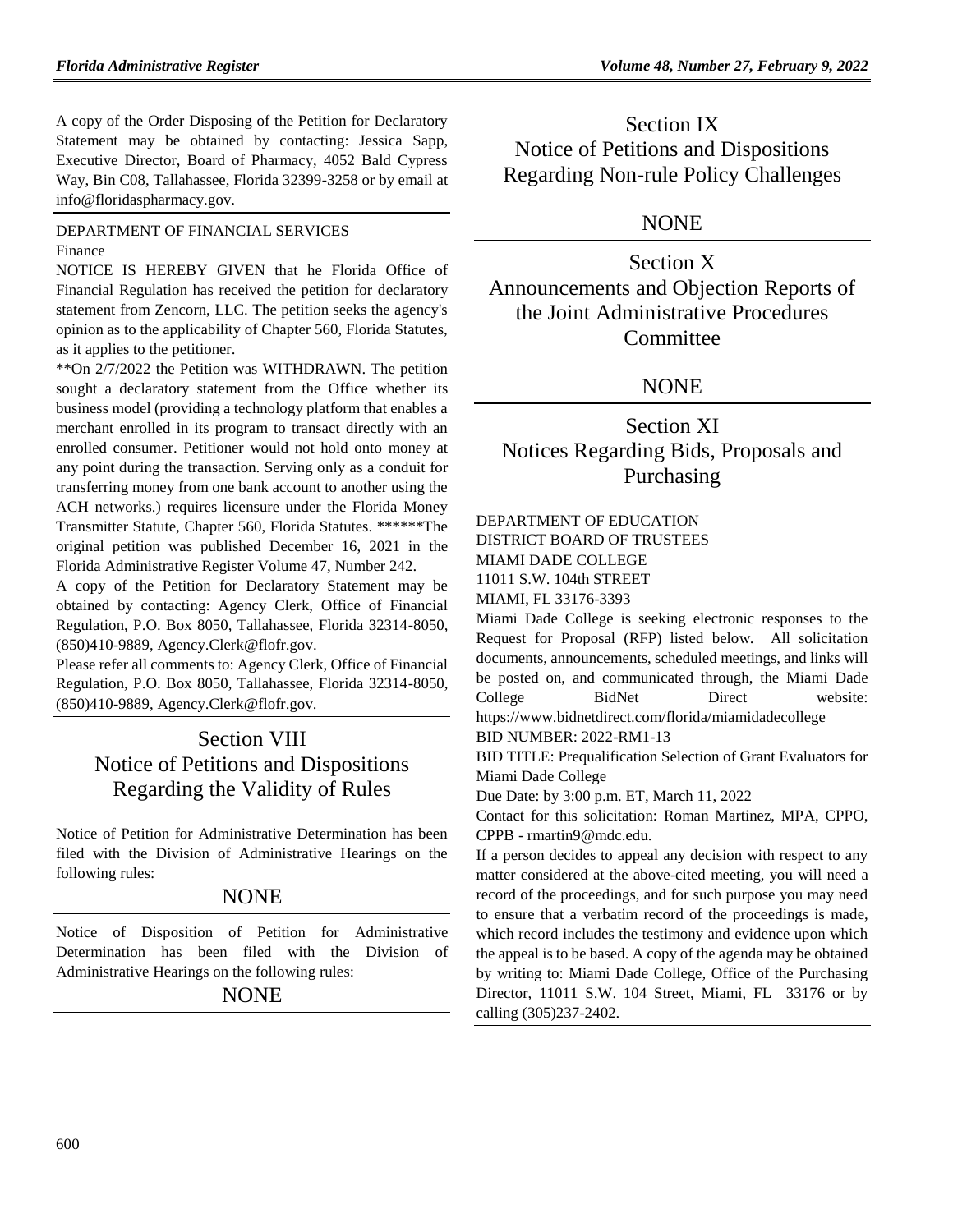A copy of the Order Disposing of the Petition for Declaratory Statement may be obtained by contacting: Jessica Sapp, Executive Director, Board of Pharmacy, 4052 Bald Cypress Way, Bin C08, Tallahassee, Florida 32399-3258 or by email at info@floridaspharmacy.gov.

[DEPARTMENT OF FINANCIAL SERVICES](https://www.flrules.org/gateway/department.asp?id=69) [Finance](https://www.flrules.org/gateway/organization.asp?id=524)

NOTICE IS HEREBY GIVEN that he Florida Office of Financial Regulation has received the petition for declaratory statement from Zencorn, LLC. The petition seeks the agency's opinion as to the applicability of Chapter 560, Florida Statutes, as it applies to the petitioner.

\*\*On 2/7/2022 the Petition was WITHDRAWN. The petition sought a declaratory statement from the Office whether its business model (providing a technology platform that enables a merchant enrolled in its program to transact directly with an enrolled consumer. Petitioner would not hold onto money at any point during the transaction. Serving only as a conduit for transferring money from one bank account to another using the ACH networks.) requires licensure under the Florida Money Transmitter Statute, Chapter 560, Florida Statutes. \*\*\*\*\*\*The original petition was published December 16, 2021 in the Florida Administrative Register Volume 47, Number 242.

A copy of the Petition for Declaratory Statement may be obtained by contacting: Agency Clerk, Office of Financial Regulation, P.O. Box 8050, Tallahassee, Florida 32314-8050, (850)410-9889, Agency.Clerk@flofr.gov.

Please refer all comments to: Agency Clerk, Office of Financial Regulation, P.O. Box 8050, Tallahassee, Florida 32314-8050, (850)410-9889, Agency.Clerk@flofr.gov.

# Section VIII Notice of Petitions and Dispositions Regarding the Validity of Rules

Notice of Petition for Administrative Determination has been filed with the Division of Administrative Hearings on the following rules:

## NONE

Notice of Disposition of Petition for Administrative Determination has been filed with the Division of Administrative Hearings on the following rules:

## **NONE**

Section IX Notice of Petitions and Dispositions Regarding Non-rule Policy Challenges

## NONE

Section X Announcements and Objection Reports of the Joint Administrative Procedures Committee

## NONE

# Section XI Notices Regarding Bids, Proposals and Purchasing

# [DEPARTMENT OF EDUCATION](https://www.flrules.org/gateway/department.asp?id=6)

DISTRICT BOARD OF TRUSTEES

MIAMI DADE COLLEGE

11011 S.W. 104th STREET

MIAMI, FL 33176-3393

Miami Dade College is seeking electronic responses to the Request for Proposal (RFP) listed below. All solicitation documents, announcements, scheduled meetings, and links will be posted on, and communicated through, the Miami Dade College BidNet Direct website: https://www.bidnetdirect.com/florida/miamidadecollege

BID NUMBER: 2022-RM1-13

BID TITLE: Prequalification Selection of Grant Evaluators for Miami Dade College

Due Date: by 3:00 p.m. ET, March 11, 2022

Contact for this solicitation: Roman Martinez, MPA, CPPO, CPPB - rmartin9@mdc.edu.

If a person decides to appeal any decision with respect to any matter considered at the above-cited meeting, you will need a record of the proceedings, and for such purpose you may need to ensure that a verbatim record of the proceedings is made, which record includes the testimony and evidence upon which the appeal is to be based. A copy of the agenda may be obtained by writing to: Miami Dade College, Office of the Purchasing Director, 11011 S.W. 104 Street, Miami, FL 33176 or by calling (305)237-2402.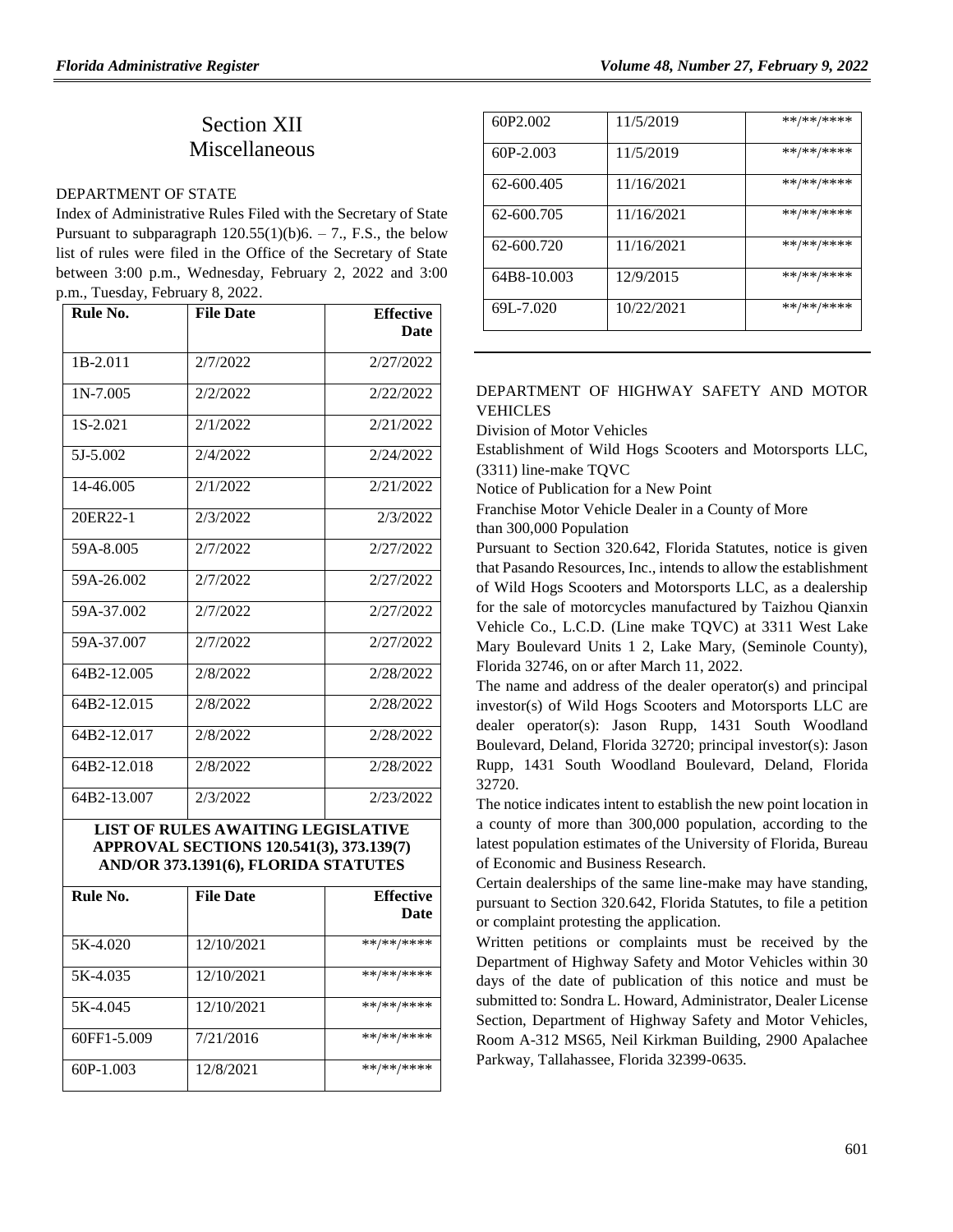# Section XII Miscellaneous

#### [DEPARTMENT OF STATE](https://www.flrules.org/gateway/department.asp?id=1)

Index of Administrative Rules Filed with the Secretary of State Pursuant to subparagraph  $120.55(1)(b)6. - 7$ ., F.S., the below list of rules were filed in the Office of the Secretary of State between 3:00 p.m., Wednesday, February 2, 2022 and 3:00 p.m., Tuesday, February 8, 2022.

| Rule No.    | <b>File Date</b> | <b>Effective</b><br><b>Date</b> |
|-------------|------------------|---------------------------------|
| 1B-2.011    | 2/7/2022         | 2/27/2022                       |
| $1N-7.005$  | 2/2/2022         | 2/22/2022                       |
| 1S-2.021    | 2/1/2022         | 2/21/2022                       |
| 5J-5.002    | 2/4/2022         | 2/24/2022                       |
| 14-46.005   | 2/1/2022         | 2/21/2022                       |
| 20ER22-1    | 2/3/2022         | 2/3/2022                        |
| 59A-8.005   | 2/7/2022         | 2/27/2022                       |
| 59A-26.002  | 2/7/2022         | 2/27/2022                       |
| 59A-37.002  | 2/7/2022         | 2/27/2022                       |
| 59A-37.007  | 2/7/2022         | 2/27/2022                       |
| 64B2-12.005 | 2/8/2022         | 2/28/2022                       |
| 64B2-12.015 | 2/8/2022         | 2/28/2022                       |
| 64B2-12.017 | 2/8/2022         | 2/28/2022                       |
| 64B2-12.018 | 2/8/2022         | 2/28/2022                       |
| 64B2-13.007 | 2/3/2022         | 2/23/2022                       |

### **LIST OF RULES AWAITING LEGISLATIVE APPROVAL SECTIONS 120.541(3), 373.139(7) AND/OR 373.1391(6), FLORIDA STATUTES**

| Rule No.    | <b>File Date</b> | <b>Effective</b><br>Date |
|-------------|------------------|--------------------------|
| 5K-4.020    | 12/10/2021       | **/**/****               |
| 5K-4.035    | 12/10/2021       | **/**/****               |
| 5K-4.045    | 12/10/2021       | **/**/****               |
| 60FF1-5.009 | 7/21/2016        | **/**/****               |
| 60P-1.003   | 12/8/2021        | **/**/****               |

| 60P <sub>2.002</sub> | 11/5/2019  | **/**/****      |
|----------------------|------------|-----------------|
| $60P-2.003$          | 11/5/2019  | **/**/****      |
| 62-600.405           | 11/16/2021 | $***$ /** /**** |
| 62-600.705           | 11/16/2021 | **/**/****      |
| 62-600.720           | 11/16/2021 | **/**/****      |
| 64B8-10.003          | 12/9/2015  | **/**/****      |
| 69L-7.020            | 10/22/2021 | $***$ /** /**** |

### [DEPARTMENT OF HIGHWAY SAFETY AND MOTOR](https://www.flrules.org/gateway/department.asp?id=15)  [VEHICLES](https://www.flrules.org/gateway/department.asp?id=15)

[Division of Motor Vehicles](https://www.flrules.org/gateway/organization.asp?id=42)

Establishment of Wild Hogs Scooters and Motorsports LLC, (3311) line-make TQVC

Notice of Publication for a New Point

Franchise Motor Vehicle Dealer in a County of More than 300,000 Population

Pursuant to Section 320.642, Florida Statutes, notice is given that Pasando Resources, Inc., intends to allow the establishment of Wild Hogs Scooters and Motorsports LLC, as a dealership for the sale of motorcycles manufactured by Taizhou Qianxin Vehicle Co., L.C.D. (Line make TQVC) at 3311 West Lake Mary Boulevard Units 1 2, Lake Mary, (Seminole County), Florida 32746, on or after March 11, 2022.

The name and address of the dealer operator(s) and principal investor(s) of Wild Hogs Scooters and Motorsports LLC are dealer operator(s): Jason Rupp, 1431 South Woodland Boulevard, Deland, Florida 32720; principal investor(s): Jason Rupp, 1431 South Woodland Boulevard, Deland, Florida 32720.

The notice indicates intent to establish the new point location in a county of more than 300,000 population, according to the latest population estimates of the University of Florida, Bureau of Economic and Business Research.

Certain dealerships of the same line-make may have standing, pursuant to Section 320.642, Florida Statutes, to file a petition or complaint protesting the application.

Written petitions or complaints must be received by the Department of Highway Safety and Motor Vehicles within 30 days of the date of publication of this notice and must be submitted to: Sondra L. Howard, Administrator, Dealer License Section, Department of Highway Safety and Motor Vehicles, Room A-312 MS65, Neil Kirkman Building, 2900 Apalachee Parkway, Tallahassee, Florida 32399-0635.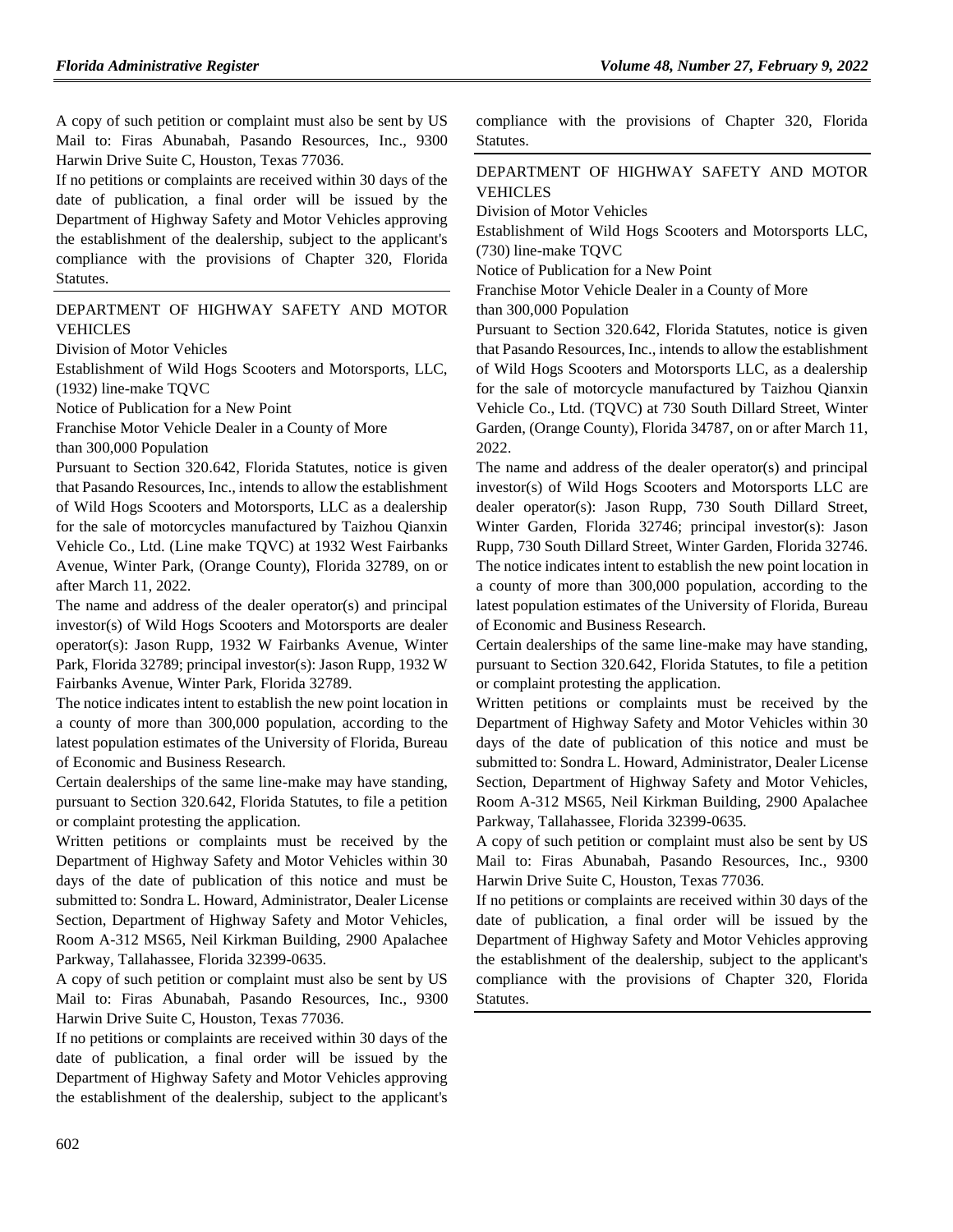A copy of such petition or complaint must also be sent by US Mail to: Firas Abunabah, Pasando Resources, Inc., 9300 Harwin Drive Suite C, Houston, Texas 77036.

If no petitions or complaints are received within 30 days of the date of publication, a final order will be issued by the Department of Highway Safety and Motor Vehicles approving the establishment of the dealership, subject to the applicant's compliance with the provisions of Chapter 320, Florida Statutes.

### [DEPARTMENT OF HIGHWAY SAFETY AND MOTOR](https://www.flrules.org/gateway/department.asp?id=15)  [VEHICLES](https://www.flrules.org/gateway/department.asp?id=15)

[Division of Motor Vehicles](https://www.flrules.org/gateway/organization.asp?id=42)

Establishment of Wild Hogs Scooters and Motorsports, LLC, (1932) line-make TQVC

Notice of Publication for a New Point

Franchise Motor Vehicle Dealer in a County of More

than 300,000 Population

Pursuant to Section 320.642, Florida Statutes, notice is given that Pasando Resources, Inc., intends to allow the establishment of Wild Hogs Scooters and Motorsports, LLC as a dealership for the sale of motorcycles manufactured by Taizhou Qianxin Vehicle Co., Ltd. (Line make TQVC) at 1932 West Fairbanks Avenue, Winter Park, (Orange County), Florida 32789, on or after March 11, 2022.

The name and address of the dealer operator(s) and principal investor(s) of Wild Hogs Scooters and Motorsports are dealer operator(s): Jason Rupp, 1932 W Fairbanks Avenue, Winter Park, Florida 32789; principal investor(s): Jason Rupp, 1932 W Fairbanks Avenue, Winter Park, Florida 32789.

The notice indicates intent to establish the new point location in a county of more than 300,000 population, according to the latest population estimates of the University of Florida, Bureau of Economic and Business Research.

Certain dealerships of the same line-make may have standing, pursuant to Section 320.642, Florida Statutes, to file a petition or complaint protesting the application.

Written petitions or complaints must be received by the Department of Highway Safety and Motor Vehicles within 30 days of the date of publication of this notice and must be submitted to: Sondra L. Howard, Administrator, Dealer License Section, Department of Highway Safety and Motor Vehicles, Room A-312 MS65, Neil Kirkman Building, 2900 Apalachee Parkway, Tallahassee, Florida 32399-0635.

A copy of such petition or complaint must also be sent by US Mail to: Firas Abunabah, Pasando Resources, Inc., 9300 Harwin Drive Suite C, Houston, Texas 77036.

If no petitions or complaints are received within 30 days of the date of publication, a final order will be issued by the Department of Highway Safety and Motor Vehicles approving the establishment of the dealership, subject to the applicant's compliance with the provisions of Chapter 320, Florida Statutes.

### [DEPARTMENT OF HIGHWAY SAFETY AND MOTOR](https://www.flrules.org/gateway/department.asp?id=15)  [VEHICLES](https://www.flrules.org/gateway/department.asp?id=15)

[Division of Motor Vehicles](https://www.flrules.org/gateway/organization.asp?id=42)

Establishment of Wild Hogs Scooters and Motorsports LLC, (730) line-make TQVC

Notice of Publication for a New Point

Franchise Motor Vehicle Dealer in a County of More

than 300,000 Population

Pursuant to Section 320.642, Florida Statutes, notice is given that Pasando Resources, Inc., intends to allow the establishment of Wild Hogs Scooters and Motorsports LLC, as a dealership for the sale of motorcycle manufactured by Taizhou Qianxin Vehicle Co., Ltd. (TQVC) at 730 South Dillard Street, Winter Garden, (Orange County), Florida 34787, on or after March 11, 2022.

The name and address of the dealer operator(s) and principal investor(s) of Wild Hogs Scooters and Motorsports LLC are dealer operator(s): Jason Rupp, 730 South Dillard Street, Winter Garden, Florida 32746; principal investor(s): Jason Rupp, 730 South Dillard Street, Winter Garden, Florida 32746. The notice indicates intent to establish the new point location in a county of more than 300,000 population, according to the latest population estimates of the University of Florida, Bureau of Economic and Business Research.

Certain dealerships of the same line-make may have standing, pursuant to Section 320.642, Florida Statutes, to file a petition or complaint protesting the application.

Written petitions or complaints must be received by the Department of Highway Safety and Motor Vehicles within 30 days of the date of publication of this notice and must be submitted to: Sondra L. Howard, Administrator, Dealer License Section, Department of Highway Safety and Motor Vehicles, Room A-312 MS65, Neil Kirkman Building, 2900 Apalachee Parkway, Tallahassee, Florida 32399-0635.

A copy of such petition or complaint must also be sent by US Mail to: Firas Abunabah, Pasando Resources, Inc., 9300 Harwin Drive Suite C, Houston, Texas 77036.

If no petitions or complaints are received within 30 days of the date of publication, a final order will be issued by the Department of Highway Safety and Motor Vehicles approving the establishment of the dealership, subject to the applicant's compliance with the provisions of Chapter 320, Florida Statutes.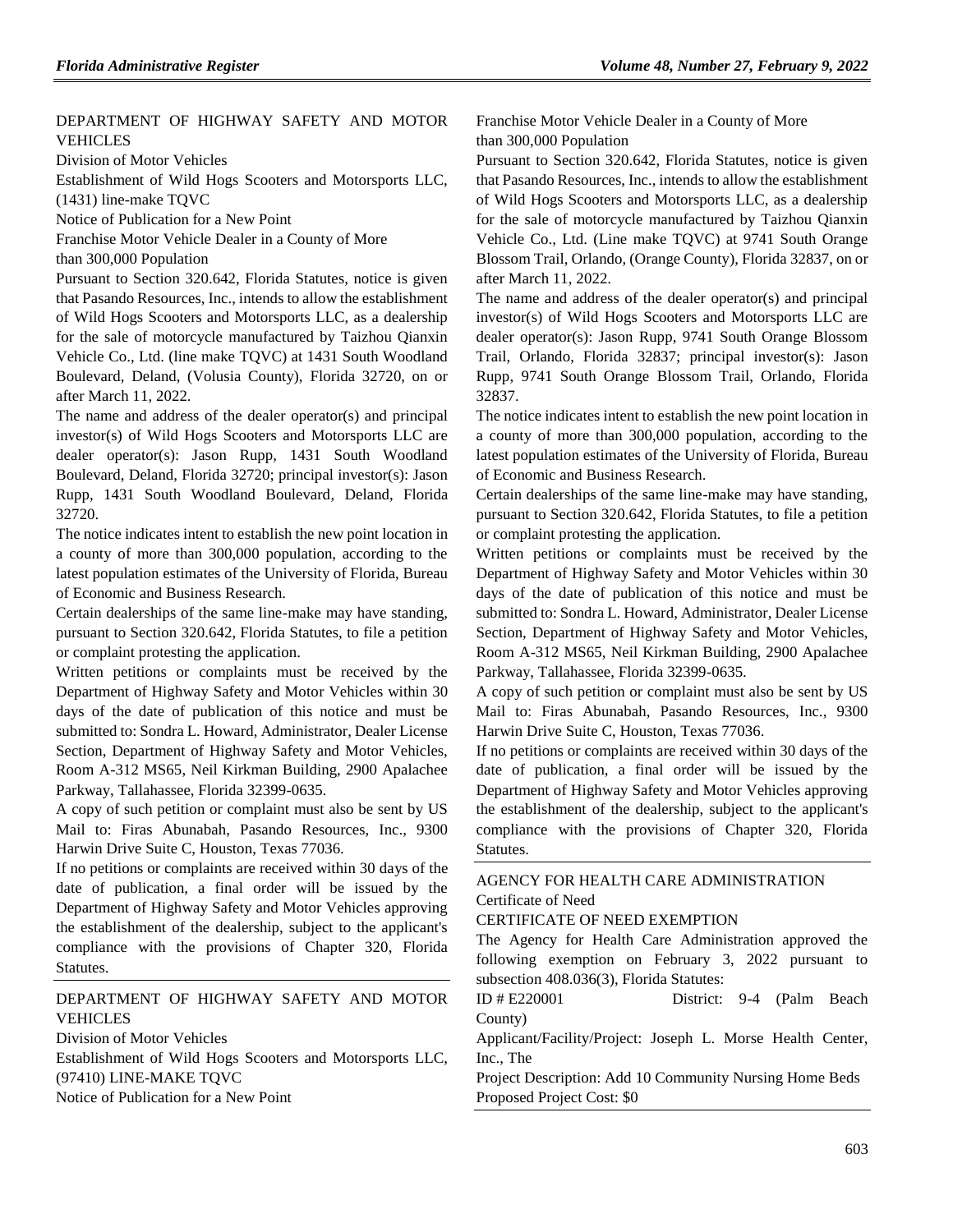### [DEPARTMENT OF HIGHWAY SAFETY AND MOTOR](https://www.flrules.org/gateway/department.asp?id=15)  [VEHICLES](https://www.flrules.org/gateway/department.asp?id=15)

[Division of Motor Vehicles](https://www.flrules.org/gateway/organization.asp?id=42)

Establishment of Wild Hogs Scooters and Motorsports LLC, (1431) line-make TQVC

Notice of Publication for a New Point

Franchise Motor Vehicle Dealer in a County of More

than 300,000 Population

Pursuant to Section 320.642, Florida Statutes, notice is given that Pasando Resources, Inc., intends to allow the establishment of Wild Hogs Scooters and Motorsports LLC, as a dealership for the sale of motorcycle manufactured by Taizhou Qianxin Vehicle Co., Ltd. (line make TQVC) at 1431 South Woodland Boulevard, Deland, (Volusia County), Florida 32720, on or after March 11, 2022.

The name and address of the dealer operator(s) and principal investor(s) of Wild Hogs Scooters and Motorsports LLC are dealer operator(s): Jason Rupp, 1431 South Woodland Boulevard, Deland, Florida 32720; principal investor(s): Jason Rupp, 1431 South Woodland Boulevard, Deland, Florida 32720.

The notice indicates intent to establish the new point location in a county of more than 300,000 population, according to the latest population estimates of the University of Florida, Bureau of Economic and Business Research.

Certain dealerships of the same line-make may have standing, pursuant to Section 320.642, Florida Statutes, to file a petition or complaint protesting the application.

Written petitions or complaints must be received by the Department of Highway Safety and Motor Vehicles within 30 days of the date of publication of this notice and must be submitted to: Sondra L. Howard, Administrator, Dealer License Section, Department of Highway Safety and Motor Vehicles, Room A-312 MS65, Neil Kirkman Building, 2900 Apalachee Parkway, Tallahassee, Florida 32399-0635.

A copy of such petition or complaint must also be sent by US Mail to: Firas Abunabah, Pasando Resources, Inc., 9300 Harwin Drive Suite C, Houston, Texas 77036.

If no petitions or complaints are received within 30 days of the date of publication, a final order will be issued by the Department of Highway Safety and Motor Vehicles approving the establishment of the dealership, subject to the applicant's compliance with the provisions of Chapter 320, Florida Statutes.

### [DEPARTMENT OF HIGHWAY SAFETY AND MOTOR](https://www.flrules.org/gateway/department.asp?id=15)  [VEHICLES](https://www.flrules.org/gateway/department.asp?id=15)

[Division of Motor Vehicles](https://www.flrules.org/gateway/organization.asp?id=42)

Establishment of Wild Hogs Scooters and Motorsports LLC, (97410) LINE-MAKE TQVC

Notice of Publication for a New Point

Franchise Motor Vehicle Dealer in a County of More than 300,000 Population

Pursuant to Section 320.642, Florida Statutes, notice is given that Pasando Resources, Inc., intends to allow the establishment of Wild Hogs Scooters and Motorsports LLC, as a dealership for the sale of motorcycle manufactured by Taizhou Qianxin Vehicle Co., Ltd. (Line make TQVC) at 9741 South Orange Blossom Trail, Orlando, (Orange County), Florida 32837, on or after March 11, 2022.

The name and address of the dealer operator(s) and principal investor(s) of Wild Hogs Scooters and Motorsports LLC are dealer operator(s): Jason Rupp, 9741 South Orange Blossom Trail, Orlando, Florida 32837; principal investor(s): Jason Rupp, 9741 South Orange Blossom Trail, Orlando, Florida 32837.

The notice indicates intent to establish the new point location in a county of more than 300,000 population, according to the latest population estimates of the University of Florida, Bureau of Economic and Business Research.

Certain dealerships of the same line-make may have standing, pursuant to Section 320.642, Florida Statutes, to file a petition or complaint protesting the application.

Written petitions or complaints must be received by the Department of Highway Safety and Motor Vehicles within 30 days of the date of publication of this notice and must be submitted to: Sondra L. Howard, Administrator, Dealer License Section, Department of Highway Safety and Motor Vehicles, Room A-312 MS65, Neil Kirkman Building, 2900 Apalachee Parkway, Tallahassee, Florida 32399-0635.

A copy of such petition or complaint must also be sent by US Mail to: Firas Abunabah, Pasando Resources, Inc., 9300 Harwin Drive Suite C, Houston, Texas 77036.

If no petitions or complaints are received within 30 days of the date of publication, a final order will be issued by the Department of Highway Safety and Motor Vehicles approving the establishment of the dealership, subject to the applicant's compliance with the provisions of Chapter 320, Florida Statutes.

## [AGENCY FOR HEALTH CARE ADMINISTRATION](https://www.flrules.org/gateway/department.asp?id=59) [Certificate of Need](https://www.flrules.org/gateway/organization.asp?id=188)

#### CERTIFICATE OF NEED EXEMPTION

The Agency for Health Care Administration approved the following exemption on February 3, 2022 pursuant to subsection 408.036(3), Florida Statutes:

ID # E220001 District: 9-4 (Palm Beach County)

Applicant/Facility/Project: Joseph L. Morse Health Center, Inc., The

Project Description: Add 10 Community Nursing Home Beds Proposed Project Cost: \$0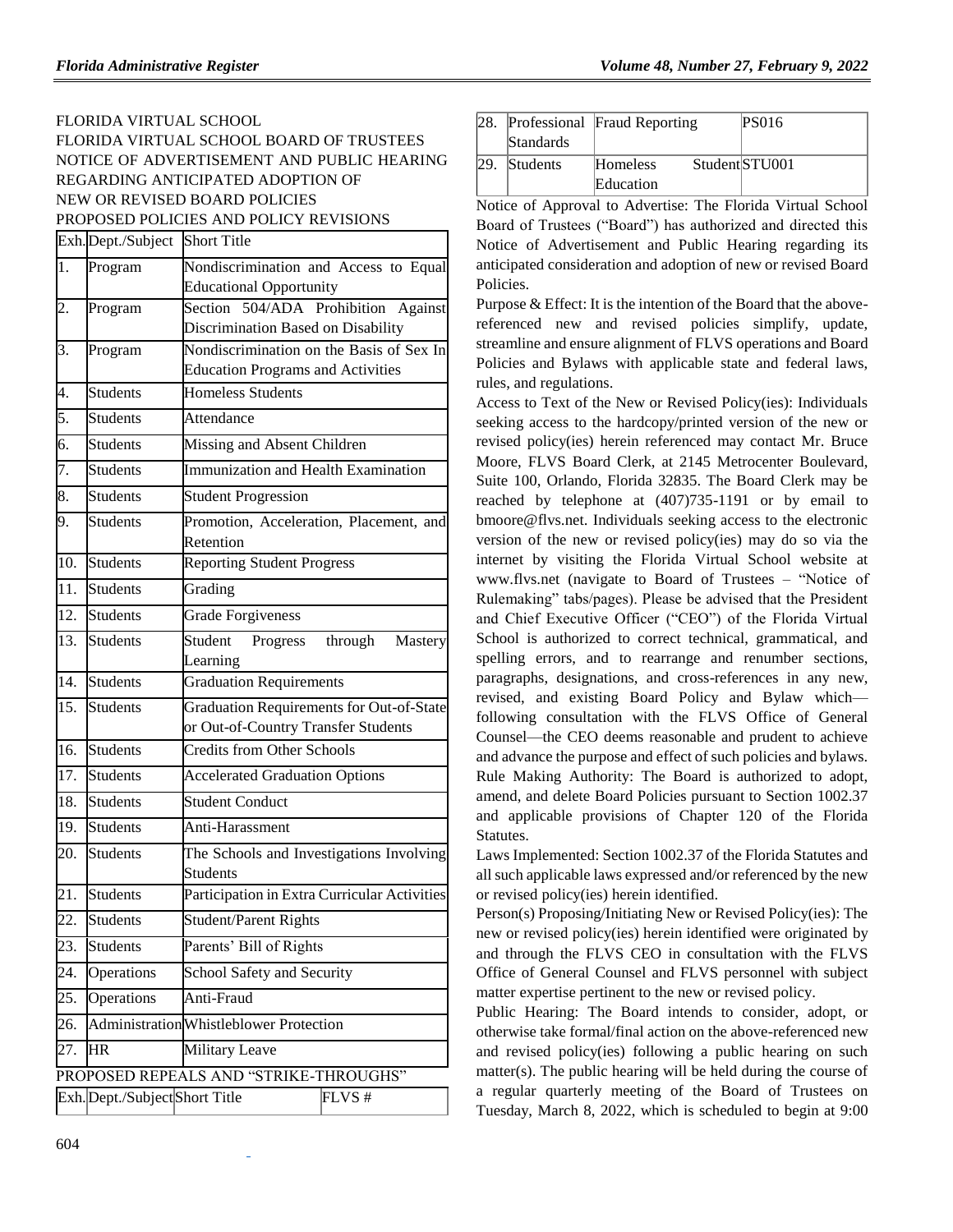## FLORIDA VIRTUAL SCHOOL FLORIDA VIRTUAL SCHOOL BOARD OF TRUSTEES NOTICE OF ADVERTISEMENT AND PUBLIC HEARING REGARDING ANTICIPATED ADOPTION OF NEW OR REVISED BOARD POLICIES PROPOSED POLICIES AND POLICY REVISIONS

|                   | Exh.Dept./Subject              | <b>Short Title</b>                              |                                            |  |
|-------------------|--------------------------------|-------------------------------------------------|--------------------------------------------|--|
| $\overline{1}$ .  | Program                        | Nondiscrimination and Access to Equal           |                                            |  |
|                   |                                | <b>Educational Opportunity</b>                  |                                            |  |
| 2.                | Program                        | Section 504/ADA Prohibition<br>Against          |                                            |  |
|                   |                                | Discrimination Based on Disability              |                                            |  |
| 3.                | Program                        | Nondiscrimination on the Basis of Sex In        |                                            |  |
|                   |                                | <b>Education Programs and Activities</b>        |                                            |  |
| 4.                | <b>Students</b>                | <b>Homeless Students</b>                        |                                            |  |
| 5.                | <b>Students</b>                | Attendance                                      |                                            |  |
| 6.                | <b>Students</b>                | Missing and Absent Children                     |                                            |  |
| 7.                | <b>Students</b>                |                                                 | <b>Immunization and Health Examination</b> |  |
| 8.                | <b>Students</b>                | <b>Student Progression</b>                      |                                            |  |
| 9.                | <b>Students</b>                | Promotion, Acceleration, Placement, and         |                                            |  |
|                   |                                | Retention                                       |                                            |  |
| 10.               | <b>Students</b>                | <b>Reporting Student Progress</b>               |                                            |  |
| $\overline{11}$ . | <b>Students</b>                | Grading                                         |                                            |  |
| 12.               | <b>Students</b>                | <b>Grade Forgiveness</b>                        |                                            |  |
| $\overline{13}$ . | <b>Students</b>                | Progress<br>through<br>Student<br>Mastery       |                                            |  |
|                   |                                | Learning                                        |                                            |  |
| 14.               | <b>Students</b>                | <b>Graduation Requirements</b>                  |                                            |  |
| $\overline{15}$ . | <b>Students</b>                | <b>Graduation Requirements for Out-of-State</b> |                                            |  |
|                   |                                | or Out-of-Country Transfer Students             |                                            |  |
| 16.               | <b>Students</b>                | <b>Credits from Other Schools</b>               |                                            |  |
| $\overline{17}$ . | <b>Students</b>                | <b>Accelerated Graduation Options</b>           |                                            |  |
| 18.               | <b>Students</b>                | <b>Student Conduct</b>                          |                                            |  |
| 19.               | <b>Students</b>                | Anti-Harassment                                 |                                            |  |
| 20.               | <b>Students</b>                | The Schools and Investigations Involving        |                                            |  |
|                   |                                | <b>Students</b>                                 |                                            |  |
| 21.               | <b>Students</b>                | Participation in Extra Curricular Activities    |                                            |  |
| $\overline{22}$ . | <b>Students</b>                | <b>Student/Parent Rights</b>                    |                                            |  |
| 23.               | <b>Students</b>                | Parents' Bill of Rights                         |                                            |  |
| 24.               | Operations                     | <b>School Safety and Security</b>               |                                            |  |
| 25.               | Operations                     | Anti-Fraud                                      |                                            |  |
| 26.               |                                | Administration Whistleblower Protection         |                                            |  |
| 27.               | HR                             | Military Leave                                  |                                            |  |
|                   |                                | PROPOSED REPEALS AND "STRIKE-THROUGHS"          |                                            |  |
|                   | Exh. Dept./Subject Short Title |                                                 | FLVS#                                      |  |
|                   |                                |                                                 |                                            |  |

| 28. | Standards | Professional Fraud Reporting | PS016            |
|-----|-----------|------------------------------|------------------|
| 29. | Students  | <b>Homeless</b>              | Student STU001   |
| .   |           | Education<br>.<br>$\sim$     | <b>TT: 1 0 1</b> |

Notice of Approval to Advertise: The Florida Virtual School Board of Trustees ("Board") has authorized and directed this Notice of Advertisement and Public Hearing regarding its anticipated consideration and adoption of new or revised Board Policies.

Purpose & Effect: It is the intention of the Board that the abovereferenced new and revised policies simplify, update, streamline and ensure alignment of FLVS operations and Board Policies and Bylaws with applicable state and federal laws, rules, and regulations.

Access to Text of the New or Revised Policy(ies): Individuals seeking access to the hardcopy/printed version of the new or revised policy(ies) herein referenced may contact Mr. Bruce Moore, FLVS Board Clerk, at 2145 Metrocenter Boulevard, Suite 100, Orlando, Florida 32835. The Board Clerk may be reached by telephone at (407)735-1191 or by email to [bmoore@flvs.net.](mailto:bmoore@flvs.net) Individuals seeking access to the electronic version of the new or revised policy(ies) may do so via the internet by visiting the Florida Virtual School website at [www.flvs.net](http://www.flvs.net/) (navigate to Board of Trustees – "Notice of Rulemaking" tabs/pages). Please be advised that the President and Chief Executive Officer ("CEO") of the Florida Virtual School is authorized to correct technical, grammatical, and spelling errors, and to rearrange and renumber sections, paragraphs, designations, and cross-references in any new, revised, and existing Board Policy and Bylaw which following consultation with the FLVS Office of General Counsel—the CEO deems reasonable and prudent to achieve and advance the purpose and effect of such policies and bylaws. Rule Making Authority: The Board is authorized to adopt, amend, and delete Board Policies pursuant to Section 1002.37 and applicable provisions of Chapter 120 of the Florida Statutes.

Laws Implemented: Section 1002.37 of the Florida Statutes and all such applicable laws expressed and/or referenced by the new or revised policy(ies) herein identified.

Person(s) Proposing/Initiating New or Revised Policy(ies): The new or revised policy(ies) herein identified were originated by and through the FLVS CEO in consultation with the FLVS Office of General Counsel and FLVS personnel with subject matter expertise pertinent to the new or revised policy.

Public Hearing: The Board intends to consider, adopt, or otherwise take formal/final action on the above-referenced new and revised policy(ies) following a public hearing on such matter(s). The public hearing will be held during the course of a regular quarterly meeting of the Board of Trustees on Tuesday, March 8, 2022, which is scheduled to begin at 9:00